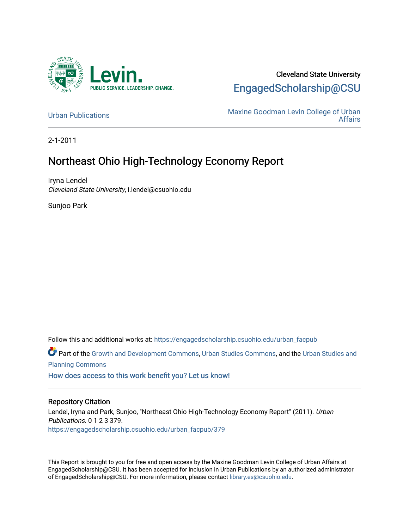

#### Cleveland State University [EngagedScholarship@CSU](https://engagedscholarship.csuohio.edu/)

[Urban Publications](https://engagedscholarship.csuohio.edu/urban_facpub) Maxine Goodman Levin College of Urban [Affairs](https://engagedscholarship.csuohio.edu/urban) 

2-1-2011

#### Northeast Ohio High-Technology Economy Report

Iryna Lendel Cleveland State University, i.lendel@csuohio.edu

Sunjoo Park

Follow this and additional works at: [https://engagedscholarship.csuohio.edu/urban\\_facpub](https://engagedscholarship.csuohio.edu/urban_facpub?utm_source=engagedscholarship.csuohio.edu%2Furban_facpub%2F379&utm_medium=PDF&utm_campaign=PDFCoverPages) 

Part of the [Growth and Development Commons,](http://network.bepress.com/hgg/discipline/346?utm_source=engagedscholarship.csuohio.edu%2Furban_facpub%2F379&utm_medium=PDF&utm_campaign=PDFCoverPages) [Urban Studies Commons](http://network.bepress.com/hgg/discipline/402?utm_source=engagedscholarship.csuohio.edu%2Furban_facpub%2F379&utm_medium=PDF&utm_campaign=PDFCoverPages), and the [Urban Studies and](http://network.bepress.com/hgg/discipline/436?utm_source=engagedscholarship.csuohio.edu%2Furban_facpub%2F379&utm_medium=PDF&utm_campaign=PDFCoverPages) [Planning Commons](http://network.bepress.com/hgg/discipline/436?utm_source=engagedscholarship.csuohio.edu%2Furban_facpub%2F379&utm_medium=PDF&utm_campaign=PDFCoverPages)

[How does access to this work benefit you? Let us know!](http://library.csuohio.edu/engaged/)

#### Repository Citation

Lendel, Iryna and Park, Sunjoo, "Northeast Ohio High-Technology Economy Report" (2011). Urban Publications. 0 1 2 3 379. [https://engagedscholarship.csuohio.edu/urban\\_facpub/379](https://engagedscholarship.csuohio.edu/urban_facpub/379?utm_source=engagedscholarship.csuohio.edu%2Furban_facpub%2F379&utm_medium=PDF&utm_campaign=PDFCoverPages)

This Report is brought to you for free and open access by the Maxine Goodman Levin College of Urban Affairs at EngagedScholarship@CSU. It has been accepted for inclusion in Urban Publications by an authorized administrator of EngagedScholarship@CSU. For more information, please contact [library.es@csuohio.edu.](mailto:library.es@csuohio.edu)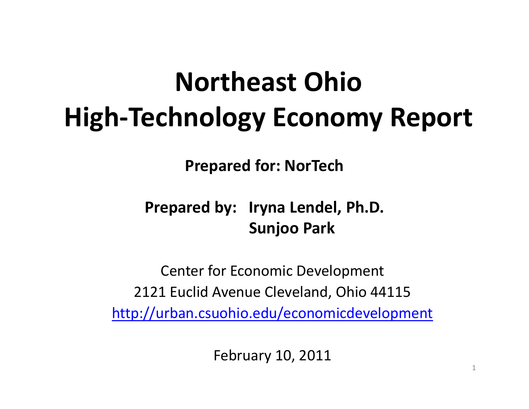# **Northeast OhioHigh‐Technology Economy Report**

**Prepared for: NorTech**

#### **Prepared by: Iryna Lendel, Ph.D. Sunjoo Park**

Center for Economic Development 2121 Euclid Avenue Cleveland, Ohio 44115 http://urban.csuohio.edu/economicdevelopment

February 10, 2011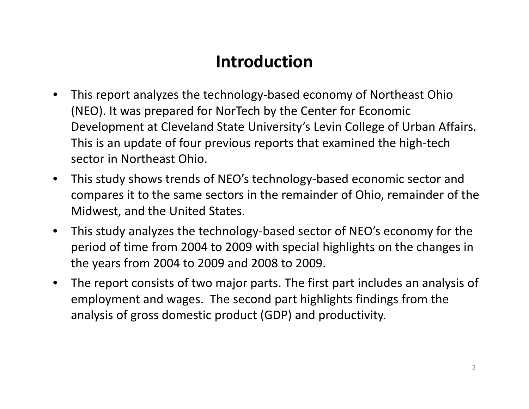#### **Introduction**

- • This report analyzes the technology‐based economy of Northeast Ohio (NEO). It was prepared for NorTech by the Center for Economic Development at Cleveland State University's Levin College of Urban Affairs. This is an update of four previous reports that examined the high‐tech sector in Northeast Ohio.
- $\bullet$  This study shows trends of NEO's technology‐based economic sector and compares it to the same sectors in the remainder of Ohio, remainder of the Midwest, and the United States.
- $\bullet$  This study analyzes the technology‐based sector of NEO's economy for the period of time from 2004 to 2009 with special highlights on the changes in the years from 2004 to 2009 and 2008 to 2009.
- $\bullet$  The report consists of two major parts. The first part includes an analysis of employment and wages. The second part highlights findings from the analysis of gross domestic product (GDP) and productivity.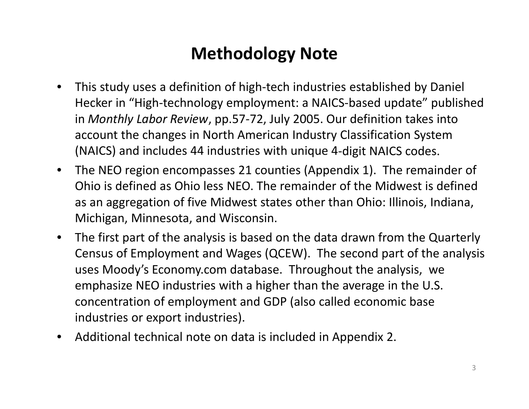#### **Methodology Note**

- $\bullet$  This study uses <sup>a</sup> definition of high‐tech industries established by Daniel Hecker in "High‐technology employment: <sup>a</sup> NAICS‐based update" published in *Monthly Labor Review*, pp.57‐72, July 2005. Our definition takes into account the changes in North American Industry Classification System (NAICS) and includes 44 industries with unique 4‐digit NAICS codes.
- $\bullet$  The NEO region encompasses 21 counties (Appendix 1). The remainder of Ohio is defined as Ohio less NEO. The remainder of the Midwest is defined as an aggregation of five Midwest states other than Ohio: Illinois, Indiana, Michigan, Minnesota, and Wisconsin.
- $\bullet$  The first part of the analysis is based on the data drawn from the Quarterly Census of Employment and Wages (QCEW). The second part of the analysis uses Moody's Economy.com database. Throughout the analysis, we emphasize NEO industries with <sup>a</sup> higher than the average in the U.S. concentration of employment and GDP (also called economic base industries or export industries).
- •Additional technical note on data is included in Appendix 2.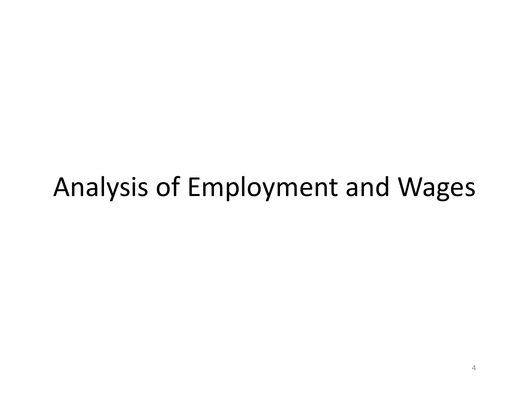# Analysis of Employment and Wages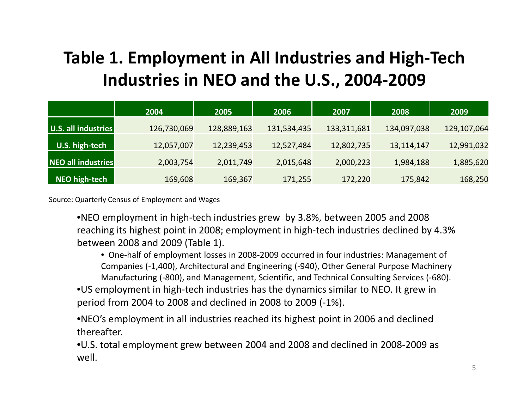#### **Table 1. Employment in All Industries and High‐Tech Industries in NEO and the U.S., 2004‐2009**

|                     | 2004        | 2005        | 2006        | 2007        | 2008        | 2009        |
|---------------------|-------------|-------------|-------------|-------------|-------------|-------------|
| U.S. all industries | 126,730,069 | 128,889,163 | 131,534,435 | 133,311,681 | 134,097,038 | 129,107,064 |
| U.S. high-tech      | 12,057,007  | 12,239,453  | 12,527,484  | 12,802,735  | 13,114,147  | 12,991,032  |
| NEO all industries  | 2,003,754   | 2,011,749   | 2,015,648   | 2,000,223   | 1,984,188   | 1,885,620   |
| NEO high-tech       | 169,608     | 169,367     | 171,255     | 172,220     | 175,842     | 168,250     |

Source: Quarterly Census of Employment and Wages

•NEO employment in high‐tech industries grew by 3.8%, between 2005 and 2008 reaching its highest point in 2008; employment in high‐tech industries declined by 4.3% between 2008 and 2009 (Table 1).

• One‐half of employment losses in 2008‐2009 occurred in four industries: Management of Companies (‐1,400), Architectural and Engineering (‐940), Other General Purpose Machinery Manufacturing (‐800), and Management, Scientific, and Technical Consulting Services (‐680).

•US employment in high‐tech industries has the dynamics similar to NEO. It grew in period from 2004 to 2008 and declined in 2008 to 2009 (‐1%).

•NEO's employment in all industries reached its highest point in 2006 and declined thereafter.

•U.S. total employment grew between 2004 and 2008 and declined in 2008‐2009 as well.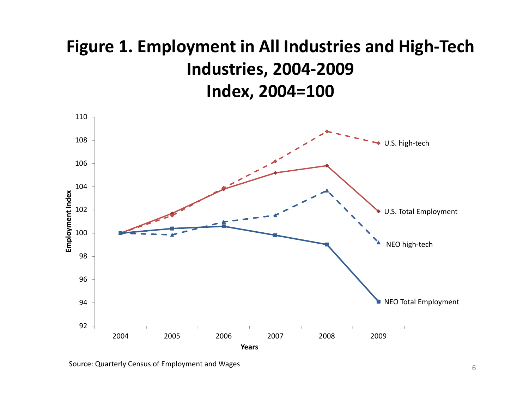#### **Figure 1. Employment in All Industries and High‐Tech Industries, 2004‐2009 Index, 2004=100**



Source: Quarterly Census of Employment and Wages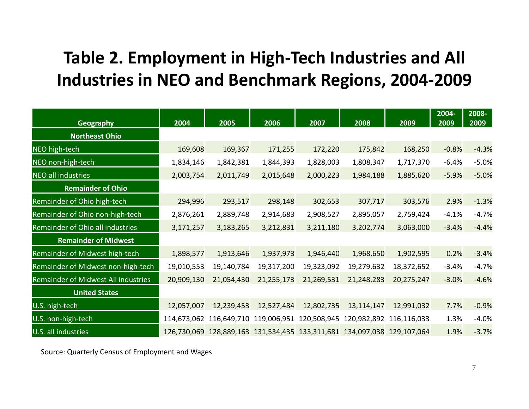#### **Table 2. Employment in High‐Tech Industries and All Industries in NEO and Benchmark Regions, 2004‐2009**

| <b>Geography</b>                    | 2004        | 2005       | 2006                                                        | 2007       | 2008       | 2009                                                        | $2004 -$<br>2009 | 2008-<br>2009 |
|-------------------------------------|-------------|------------|-------------------------------------------------------------|------------|------------|-------------------------------------------------------------|------------------|---------------|
| <b>Northeast Ohio</b>               |             |            |                                                             |            |            |                                                             |                  |               |
| NEO high-tech                       | 169,608     | 169,367    | 171,255                                                     | 172,220    | 175,842    | 168,250                                                     | $-0.8%$          | $-4.3%$       |
| NEO non-high-tech                   | 1,834,146   | 1,842,381  | 1,844,393                                                   | 1,828,003  | 1,808,347  | 1,717,370                                                   | $-6.4%$          | $-5.0%$       |
| <b>NEO all industries</b>           | 2,003,754   | 2,011,749  | 2,015,648                                                   | 2,000,223  | 1,984,188  | 1,885,620                                                   | $-5.9%$          | $-5.0%$       |
| <b>Remainder of Ohio</b>            |             |            |                                                             |            |            |                                                             |                  |               |
| Remainder of Ohio high-tech         | 294,996     | 293,517    | 298,148                                                     | 302,653    | 307,717    | 303,576                                                     | 2.9%             | $-1.3%$       |
| Remainder of Ohio non-high-tech     | 2,876,261   | 2,889,748  | 2,914,683                                                   | 2,908,527  | 2,895,057  | 2,759,424                                                   | $-4.1%$          | $-4.7%$       |
| Remainder of Ohio all industries    | 3,171,257   | 3,183,265  | 3,212,831                                                   | 3,211,180  | 3,202,774  | 3,063,000                                                   | $-3.4%$          | $-4.4%$       |
| <b>Remainder of Midwest</b>         |             |            |                                                             |            |            |                                                             |                  |               |
| Remainder of Midwest high-tech      | 1,898,577   | 1,913,646  | 1,937,973                                                   | 1,946,440  | 1,968,650  | 1,902,595                                                   | 0.2%             | $-3.4%$       |
| Remainder of Midwest non-high-tech  | 19,010,553  | 19,140,784 | 19,317,200                                                  | 19,323,092 | 19,279,632 | 18,372,652                                                  | $-3.4%$          | $-4.7%$       |
| Remainder of Midwest All industries | 20,909,130  | 21,054,430 | 21,255,173                                                  | 21,269,531 | 21,248,283 | 20,275,247                                                  | $-3.0%$          | $-4.6%$       |
| <b>United States</b>                |             |            |                                                             |            |            |                                                             |                  |               |
| U.S. high-tech                      | 12,057,007  | 12,239,453 | 12,527,484                                                  | 12,802,735 | 13,114,147 | 12,991,032                                                  | 7.7%             | $-0.9%$       |
| U.S. non-high-tech                  | 114,673,062 |            |                                                             |            |            | 116,649,710 119,006,951 120,508,945 120,982,892 116,116,033 | 1.3%             | $-4.0%$       |
| U.S. all industries                 | 126,730,069 |            | 128,889,163 131,534,435 133,311,681 134,097,038 129,107,064 |            |            |                                                             | 1.9%             | $-3.7%$       |

Source: Quarterly Census of Employment and Wages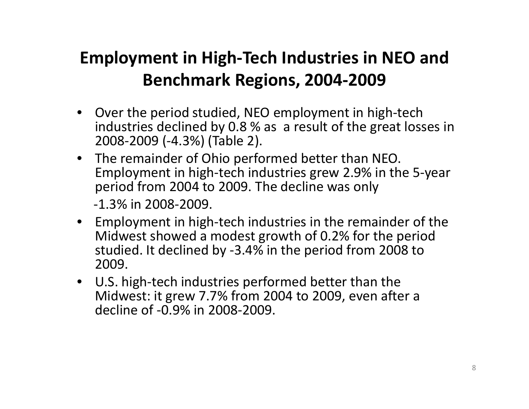#### **Employment in High‐Tech Industries in NEO and Benchmark Regions, 2004‐2009**

- Over the period studied, NEO employment in high‐tech industries declined by 0.8 % as <sup>a</sup> result of the great losses in 2008‐2009 (‐4.3%) (Table 2).
- The remainder of Ohio performed better than NEO. Employment in high‐tech industries grew 2.9% in the 5‐year period from 2004 to 2009. The decline was only ‐1.3% in 2008‐2009.
- Employment in high‐tech industries in the remainder of the Midwest showed <sup>a</sup> modest growth of 0.2% for the period studied. It declined by ‐3.4% in the period from 2008 to 2009.
- U.S. high‐tech industries performed better than the Midwest: it grew 7.7% from 2004 to 2009, even after <sup>a</sup> decline of ‐0.9% in 2008‐2009.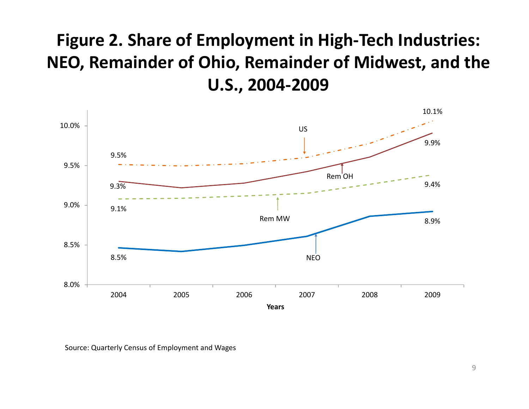#### **Figure 2. Share of Employment in High‐Tech Industries: NEO, Remainder of Ohio, Remainder of Midwest, and the U.S., 2004‐2009**



Source: Quarterly Census of Employment and Wages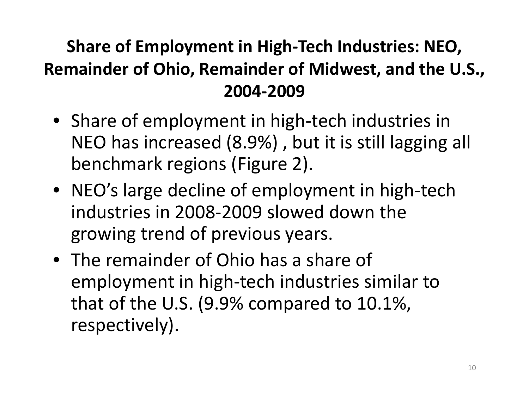## **Share of Employment in High‐Tech Industries: NEO, Remainder of Ohio, Remainder of Midwest, and the U.S., 2004‐2009**

- Share of employment in high‐tech industries in NEO has increased (8.9%) , but it is still lagging all benchmark regions (Figure 2).
- NEO's large decline of employment in high‐tech industries in 2008‐2009 slowed down the growing trend of previous years.
- The remainder of Ohio has <sup>a</sup> share of employment in high‐tech industries similar to that of the U.S. (9.9% compared to 10.1%, respectively).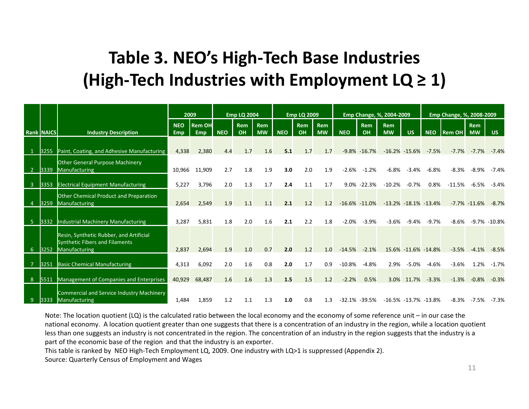#### **Table 3. NEO's High‐Tech Base Industries (High‐Tech Industries with Employment LQ ≥ 1)**

|                |                   |                                                                          | 2009              |                             |            | <b>Emp LQ 2004</b> |                         |            | <b>Emp LQ 2009</b> |                         |            |                   | Emp Change, %, 2004-2009 |                           |            | Emp Change, %, 2008-2009 |                         |                  |
|----------------|-------------------|--------------------------------------------------------------------------|-------------------|-----------------------------|------------|--------------------|-------------------------|------------|--------------------|-------------------------|------------|-------------------|--------------------------|---------------------------|------------|--------------------------|-------------------------|------------------|
|                | <b>Rank NAICS</b> | <b>Industry Description</b>                                              | <b>NEO</b><br>Emp | <b>Rem OH</b><br><b>Emp</b> | <b>NEO</b> | <b>Rem</b><br>OH   | <b>Rem</b><br><b>MW</b> | <b>NEO</b> | <b>Rem</b><br>OH   | <b>Rem</b><br><b>MW</b> | <b>NEO</b> | <b>Rem</b><br>OH  | <b>Rem</b><br><b>MW</b>  | <b>US</b>                 | <b>NEO</b> | <b>Rem OH</b>            | <b>Rem</b><br><b>MW</b> | US.              |
| $\vert$ 1      | 3255              | Paint, Coating, and Adhesive Manufacturing                               | 4,338             | 2,380                       | 4.4        | 1.7                | 1.6                     | 5.1        | 1.7                | 1.7                     |            | $-9.8\% -16.7\%$  |                          | $-16.2\% -15.6\%$         | $-7.5%$    | $-7.7%$                  | $-7.7%$                 | $-7.4%$          |
| $\overline{2}$ | 3339              | <b>Other General Purpose Machinery</b><br>Manufacturing                  | 10,966            | 11,909                      | 2.7        | 1.8                | 1.9                     | 3.0        | 2.0                | 1.9                     | $-2.6%$    | $-1.2%$           | $-6.8%$                  | $-3.4%$                   | $-6.8%$    | $-8.3%$                  | $-8.9%$                 | $-7.4%$          |
| $\overline{3}$ | 3353              | <b>Electrical Equipment Manufacturing</b>                                | 5,227             | 3,796                       | 2.0        | 1.3                | 1.7                     | 2.4        | 1.1                | 1.7                     |            | 9.0% -22.3%       | $-10.2%$                 | $-0.7%$                   | 0.8%       | $-11.5%$                 | $-6.5%$                 | $-3.4%$          |
| -4             | 3259              | Other Chemical Product and Preparation<br>Manufacturing                  | 2,654             | 2,549                       | 1.9        | 1.1                | 1.1                     | 2.1        | 1.2                | 1.2                     |            | $-16.6\% -11.0\%$ |                          | $-13.2\% -18.1\% -13.4\%$ |            |                          | $-7.7\% -11.6\%$        | $-8.7%$          |
| -5             | 3332              | Industrial Machinery Manufacturing                                       | 3,287             | 5,831                       | 1.8        | 2.0                | 1.6                     | 2.1        | 2.2                | 1.8                     | $-2.0%$    | $-3.9%$           | $-3.6%$                  | $-9.4%$                   | $-9.7%$    | $-8.6%$                  |                         | $-9.7\% -10.8\%$ |
|                |                   | Resin, Synthetic Rubber, and Artificial                                  |                   |                             |            |                    |                         |            |                    |                         |            |                   |                          |                           |            |                          |                         |                  |
| 6              | 3252              | <b>Synthetic Fibers and Filaments</b><br>Manufacturing                   | 2,837             | 2,694                       | 1.9        | 1.0                | 0.7                     | 2.0        | 1.2                | 1.0                     | $-14.5%$   | $-2.1%$           |                          | 15.6% -11.6% -14.8%       |            | $-3.5%$                  | $-4.1%$                 | $-8.5%$          |
|                | 3251              | <b>Basic Chemical Manufacturing</b>                                      | 4,313             | 6,092                       | 2.0        | 1.6                | 0.8                     | 2.0        | 1.7                | 0.9                     | $-10.8\%$  | $-4.8%$           | 2.9%                     | $-5.0%$                   | $-4.6%$    | $-3.6%$                  | 1.2%                    | $-1.7%$          |
| 8              | 5511              | Management of Companies and Enterprises                                  | 40,929            | 68,487                      | 1.6        | 1.6                | 1.3                     | 1.5        | 1.5                | 1.2                     | $-2.2%$    | 0.5%              | 3.0%                     | 11.7%                     | $-3.3%$    | $-1.3%$                  | $-0.8%$                 | $-0.3%$          |
| -9             | 3333              | <b>Commercial and Service Industry Machinery</b><br><b>Manufacturing</b> | 1,484             | 1,859                       | 1.2        | 1.1                | 1.3                     | 1.0        | 0.8                | 1.3                     |            | $-32.1\% -39.5\%$ |                          | $-16.5\% -13.7\% -13.8\%$ |            |                          | $-8.3\% -7.5\%$         | $-7.3%$          |

Note: The location quotient (LQ) is the calculated ratio between the local economy and the economy of some reference unit – in our case the national economy. A location quotient greater than one suggests that there is <sup>a</sup> concentration of an industry in the region, while <sup>a</sup> location quotient less than one suggests an industry is not concentrated in the region. The concentration of an industry in the region suggests that the industry is <sup>a</sup> part of the economic base of the region and that the industry is an exporter.

This table is ranked by NEO High‐Tech Employment LQ, 2009. One industry with LQ>1 is suppressed (Appendix 2).

Source: Quarterly Census of Employment and Wages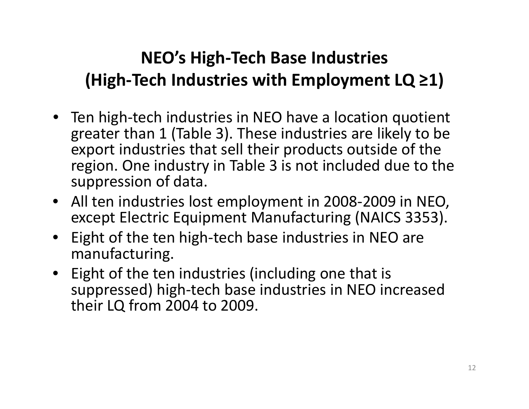## **NEO's High‐Tech Base Industries (High‐Tech Industries with Employment LQ ≥1)**

- Ten high‐tech industries in NEO have <sup>a</sup> location quotient greater than 1 (Table 3). These industries are likely to be export industries that sell their products outside of the region. One industry in Table 3 is not included due to the suppression of data.
- All ten industries lost employment in 2008‐2009 in NEO, except Electric Equipment Manufacturing (NAICS 3353).
- • Eight of the ten high‐tech base industries in NEO are manufacturing.
- Eight of the ten industries (including one that is suppressed) high‐tech base industries in NEO increased their LQ from 2004 to 2009.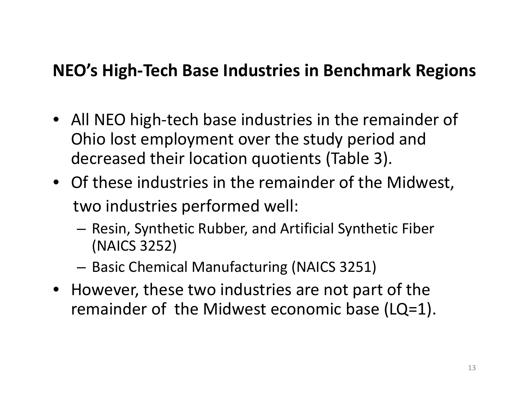#### **NEO's High‐Tech Base Industries in Benchmark Regions**

- All NEO high‐tech base industries in the remainder of Ohio lost employment over the study period and decreased their location quotients (Table 3).
- Of these industries in the remainder of the Midwest, two industries performed well:
	- – $-$  Resin, Synthetic Rubber, and Artificial Synthetic Fiber (NAICS 3252)
	- $-$  Basic Chemical Manufacturing (NAICS 3251)
- However, these two industries are not part of the remainder of the Midwest economic base (LQ=1).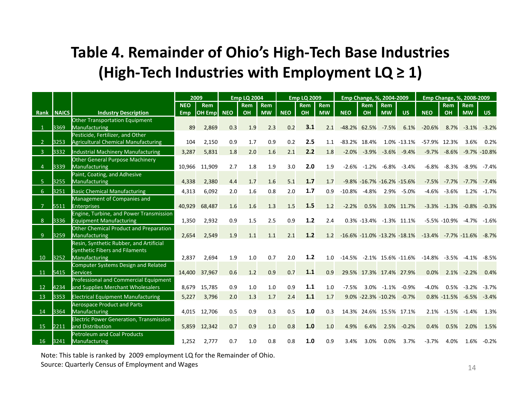#### **Table 4. Remainder of Ohio's High‐Tech Base Industries (High‐Tech Industries with Employment LQ ≥ 1)**

|                |      |                                                        |            | 2009           |            | <b>Emp LQ 2004</b> |            |            | <b>Emp LQ 2009</b> |            |            | Emp Change, %, 2004-2009            |                |                                    |                              | Emp Change, %, 2008-2009 |                |                  |
|----------------|------|--------------------------------------------------------|------------|----------------|------------|--------------------|------------|------------|--------------------|------------|------------|-------------------------------------|----------------|------------------------------------|------------------------------|--------------------------|----------------|------------------|
|                |      |                                                        | <b>NEO</b> | <b>Rem</b>     |            | <b>Rem</b>         | <b>Rem</b> |            | Rem                | <b>Rem</b> |            | <b>Rem</b>                          | <b>Rem</b>     |                                    |                              | <b>Rem</b>               | <b>Rem</b>     |                  |
| Rank NAICS     |      | <b>Industry Description</b>                            | <b>Emp</b> | <b>OH Empl</b> | <b>NEO</b> | OH                 | <b>MW</b>  | <b>NEO</b> | OH                 | <b>MW</b>  | <b>NEO</b> | OH                                  | <b>MW</b>      | <b>US</b>                          | <b>NEO</b>                   | OH                       | <b>MW</b>      | <b>US</b>        |
|                |      | Other Transportation Equipment                         |            |                |            |                    |            |            |                    |            |            |                                     |                |                                    |                              |                          |                |                  |
|                | 3369 | <b>Manufacturing</b>                                   | 89         | 2,869          | 0.3        | 1.9                | 2.3        | 0.2        | 3.1                | 2.1        |            | -48.2% 62.5% -7.5%                  |                | 6.1%                               | $-20.6%$                     | 8.7%                     | $-3.1%$        | $-3.2%$          |
|                |      | Pesticide, Fertilizer, and Other                       |            |                |            |                    |            |            |                    |            |            |                                     |                |                                    |                              |                          |                |                  |
|                | 3253 | <b>Agricultural Chemical Manufacturing</b>             | 104        | 2,150          | 0.9        | 1.7                | 0.9        | 0.2        | 2.5                | 1.1        |            | $-83.2\%$ 18.4%                     |                | 1.0% -13.1%                        |                              | -57.9% 12.3%             | 3.6%           | 0.2%             |
| $\overline{3}$ | 3332 | <b>Industrial Machinery Manufacturing</b>              | 3,287      | 5,831          | 1.8        | 2.0                | 1.6        | 2.1        | 2.2                | 1.8        |            | $-2.0\% -3.9\%$                     | $-3.6%$        | $-9.4%$                            |                              | $-9.7\% -8.6\%$          |                | $-9.7\% -10.8\%$ |
|                |      | <b>Other General Purpose Machinery</b>                 |            |                |            |                    |            |            |                    |            |            |                                     |                |                                    |                              |                          |                |                  |
| 4              | 3339 | Manufacturing                                          |            | 10,966 11,909  | 2.7        | 1.8                | 1.9        | 3.0        | 2.0                | 1.9        |            | $-2.6\%$ $-1.2\%$ $-6.8\%$ $-3.4\%$ |                |                                    |                              | $-6.8\% -8.3\%$          | -8.9%          | -7.4%            |
|                |      | Paint, Coating, and Adhesive                           |            |                |            |                    |            |            |                    |            |            |                                     |                |                                    |                              |                          |                |                  |
| 5              | 3255 | <b>Manufacturing</b>                                   | 4,338      | 2,380          | 4.4        | 1.7                | 1.6        | 5.1        | 1.7                | 1.7        |            | $-9.8\% -16.7\% -16.2\% -15.6\%$    |                |                                    |                              | $-7.5\% -7.7\%$          | $-7.7%$        | $-7.4%$          |
| 6              | 3251 | <b>Basic Chemical Manufacturing</b>                    | 4,313      | 6,092          | 2.0        | 1.6                | 0.8        | 2.0        | 1.7                | 0.9        |            | $-10.8\%$ $-4.8\%$                  |                | 2.9% -5.0%                         | $-4.6%$                      | -3.6%                    | 1.2%           | -1.7%            |
|                |      | Management of Companies and                            |            |                |            |                    |            |            |                    |            |            |                                     |                |                                    |                              |                          |                |                  |
| 7              | 5511 | <b>Enterprises</b>                                     | 40,929     | 68,487         | 1.6        | 1.6                | 1.3        | 1.5        | 1.5                | 1.2        | $-2.2%$    | 0.5%                                |                | 3.0% 11.7%                         |                              | $-3.3\% -1.3\%$          | $-0.8%$        | $-0.3%$          |
|                |      | Engine, Turbine, and Power Transmission                |            |                |            |                    |            |            |                    |            |            |                                     |                |                                    |                              |                          |                |                  |
| 8              | 3336 | <b>Equipment Manufacturing</b>                         | 1,350      | 2,932          | 0.9        | 1.5                | 2.5        | 0.9        | 1.2                | 2.4        |            | 0.3% -13.4% -1.3% 11.1%             |                |                                    |                              | $-5.5\% -10.9\%$         | -4.7%          | $-1.6%$          |
|                |      | Other Chemical Product and Preparation                 |            |                |            |                    |            |            |                    |            |            |                                     |                |                                    |                              |                          |                |                  |
| 9              | 3259 | <b>Manufacturing</b>                                   | 2.654      | 2,549          | 1.9        | 1.1                | 1.1        | 2.1        | 1.2                | 1.2        |            |                                     |                | $-16.6\% -11.0\% -13.2\% -18.1\%$  | $-13.4\%$ $-7.7\%$ $-11.6\%$ |                          |                | $-8.7\%$         |
|                |      | Resin, Synthetic Rubber, and Artificial                |            |                |            |                    |            |            |                    |            |            |                                     |                |                                    |                              |                          |                |                  |
| 10             | 3252 | <b>Synthetic Fibers and Filaments</b><br>Manufacturing | 2,837      | 2,694          | 1.9        | 1.0                | 0.7        | 2.0        | 1.2                | 1.0        |            |                                     |                | $-14.5\%$ $-2.1\%$ 15.6% $-11.6\%$ | $-14.8\%$ $-3.5\%$           |                          | $-4.1%$        | $-8.5%$          |
|                |      | Computer Systems Design and Related                    |            |                |            |                    |            |            |                    |            |            |                                     |                |                                    |                              |                          |                |                  |
| 11             | 5415 | <b>Services</b>                                        |            | 14,400 37,967  | 0.6        | 1.2                | 0.9        | 0.7        | $1.1$              | 0.9        |            | 29.5% 17.3% 17.4% 27.9%             |                |                                    | 0.0%                         |                          | $2.1\% -2.2\%$ | 0.4%             |
|                |      | Professional and Commercial Equipment                  |            |                |            |                    |            |            |                    |            |            |                                     |                |                                    |                              |                          |                |                  |
| 12             | 4234 | and Supplies Merchant Wholesalers                      | 8.679      | 15,785         | 0.9        | 1.0                | 1.0        | 0.9        | 1.1                | 1.0        | $-7.5%$    |                                     | $3.0\% -1.1\%$ | $-0.9%$                            | $-4.0%$                      | 0.5%                     | $-3.2%$        | $-3.7%$          |
| 13             | 3353 | <b>Electrical Equipment Manufacturing</b>              | 5,227      | 3,796          | 2.0        | 1.3                | 1.7        | 2.4        | 1.1                | 1.7        |            | $9.0\% -22.3\% -10.2\%$             |                | $-0.7%$                            |                              | $0.8\% -11.5\%$          | $-6.5%$        | $-3.4%$          |
|                |      | <b>Aerospace Product and Parts</b>                     |            |                |            |                    |            |            |                    |            |            |                                     |                |                                    |                              |                          |                |                  |
| 14             | 3364 | <b>Manufacturing</b>                                   |            | 4,015 12,706   | 0.5        | 0.9                | 0.3        | 0.5        | 1.0                | 0.3        |            | 14.3% 24.6% 15.5% 17.1%             |                |                                    |                              | $2.1\% -1.5\% -1.4\%$    |                | 1.3%             |
|                |      | <b>Electric Power Generation, Transmission</b>         |            |                |            |                    |            |            |                    |            |            |                                     |                |                                    |                              |                          |                |                  |
| 15             | 2211 | and Distribution                                       |            | 5,859 12,342   | 0.7        | 0.9                | 1.0        | 0.8        | 1.0                | 1.0        | 4.9%       | 6.4%                                | 2.5%           | $-0.2%$                            | 0.4%                         | 0.5%                     | 2.0%           | 1.5%             |
|                |      | <b>Petroleum and Coal Products</b>                     |            |                |            |                    |            |            |                    |            |            |                                     |                |                                    |                              |                          |                |                  |
| 16             | 3241 | Manufacturing                                          | 1,252      | 2,777          | 0.7        | 1.0                | 0.8        | 0.8        | 1.0                | 0.9        | 3.4%       | 3.0%                                | $0.0\%$        | 3.7%                               | $-3.7%$                      | 4.0%                     | 1.6%           | $-0.2%$          |

Note: This table is ranked by 2009 employment LQ for the Remainder of Ohio. Source: Quarterly Census of Employment and Wages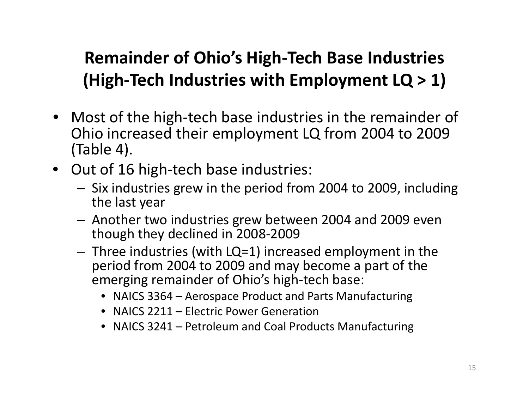## **Remainder of Ohio's High‐Tech Base Industries (High‐Tech Industries with Employment LQ <sup>&</sup>gt; 1)**

- Most of the high‐tech base industries in the remainder of Ohio increased their employment LQ from 2004 to 2009 (Table 4).
- Out of 16 high‐tech base industries:
	- – $-$  Six industries grew in the period from 2004 to 2009, including the last year
	- – Another two industries grew between 2004 and 2009 even though they declined in 2008‐2009
	- – $-$  Three industries (with LQ=1) increased employment in the period from 2004 to 2009 and may become <sup>a</sup> part of the emerging remainder of Ohio's high‐tech base:
		- NAICS 3364 Aerospace Product and Parts Manufacturing
		- NAICS 2211 Electric Power Generation
		- NAICS 3241 Petroleum and Coal Products Manufacturing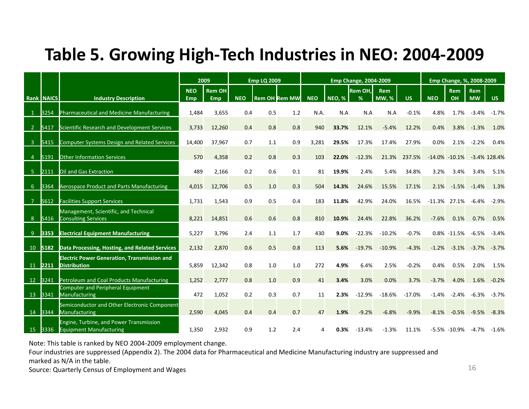#### **Table 5. Growing High‐Tech Industries in NEO: 2004‐2009**

|                         |         |                                                                                  | 2009       |               |            | <b>Emp LQ 2009</b> |                      |            |               | <b>Emp Change, 2004-2009</b> |              |           |                 |                   | Emp Change, %, 2008-2009 |                 |
|-------------------------|---------|----------------------------------------------------------------------------------|------------|---------------|------------|--------------------|----------------------|------------|---------------|------------------------------|--------------|-----------|-----------------|-------------------|--------------------------|-----------------|
|                         |         |                                                                                  | <b>NEO</b> | <b>Rem OH</b> |            |                    |                      |            |               | <b>Rem OH.</b>               | <b>Rem</b>   |           |                 | <b>Rem</b>        | <b>Rem</b>               |                 |
| <b>Rank NAICS</b>       |         | <b>Industry Description</b>                                                      | <b>Emp</b> | <b>Emp</b>    | <b>NEO</b> |                    | <b>Rem OH Rem MW</b> | <b>NEO</b> | <b>NEO, %</b> | %                            | <b>MW, %</b> | <b>US</b> | <b>NEO</b>      | OH                | <b>MW</b>                | <b>US</b>       |
|                         | 3254    | Pharmaceutical and Medicine Manufacturing                                        | 1,484      | 3,655         | 0.4        | 0.5                | 1.2                  | N.A.       | N.A           | N.A                          | N.A          | $-0.1%$   | 4.8%            | 1.7%              | $-3.4%$                  | $-1.7%$         |
| $\overline{2}$          | 5417    | Scientific Research and Development Services                                     | 3,733      | 12,260        | 0.4        | 0.8                | 0.8                  | 940        | 33.7%         | 12.1%                        | $-5.4%$      | 12.2%     | 0.4%            | 3.8%              | $-1.3%$                  | 1.0%            |
| $\overline{\mathbf{3}}$ | 5415    | <b>Computer Systems Design and Related Services</b>                              | 14,400     | 37,967        | 0.7        | 1.1                | 0.9                  | 3,281      | 29.5%         | 17.3%                        | 17.4%        | 27.9%     | 0.0%            | 2.1%              | $-2.2%$                  | 0.4%            |
| $\overline{4}$          | 5191    | <b>Other Information Services</b>                                                | 570        | 4,358         | 0.2        | 0.8                | 0.3                  | 103        | 22.0%         | $-12.3%$                     | 21.3%        | 237.5%    |                 | $-14.0\% -10.1\%$ |                          | $-3.4\%$ 128.4% |
| - 5                     | 2111    | Oil and Gas Extraction                                                           | 489        | 2,166         | 0.2        | 0.6                | 0.1                  | 81         | 19.9%         | 2.4%                         | 5.4%         | 34.8%     | 3.2%            | 3.4%              | 3.4%                     | 5.1%            |
| 6                       | 3364    | <b>Aerospace Product and Parts Manufacturing</b>                                 | 4,015      | 12,706        | 0.5        | 1.0                | 0.3                  | 504        | 14.3%         | 24.6%                        | 15.5%        | 17.1%     | 2.1%            | $-1.5%$           | $-1.4%$                  | 1.3%            |
| $\overline{7}$          | 5612    | <b>Facilities Support Services</b>                                               | 1,731      | 1,543         | 0.9        | 0.5                | 0.4                  | 183        | 11.8%         | 42.9%                        | 24.0%        | 16.5%     | $-11.3\%$ 27.1% |                   | $-6.4%$                  | $-2.9%$         |
| - 8                     | 5416    | Management, Scientific, and Technical<br><b>Consulting Services</b>              | 8,221      | 14,851        | 0.6        | 0.6                | 0.8                  | 810        | 10.9%         | 24.4%                        | 22.8%        | 36.2%     | $-7.6%$         | 0.1%              | 0.7%                     | 0.5%            |
| -9                      | 3353    | <b>Electrical Equipment Manufacturing</b>                                        | 5,227      | 3,796         | 2.4        | 1.1                | 1.7                  | 430        | 9.0%          | $-22.3%$                     | $-10.2%$     | $-0.7%$   |                 | $0.8\% -11.5\%$   | $-6.5%$                  | $-3.4%$         |
| 10                      | 5182    | Data Processing, Hosting, and Related Services                                   | 2,132      | 2,870         | 0.6        | 0.5                | 0.8                  | 113        | 5.6%          | $-19.7%$                     | $-10.9%$     | $-4.3%$   | $-1.2%$         | $-3.1%$           | $-3.7%$                  | $-3.7%$         |
| 11 2211                 |         | <b>Electric Power Generation, Transmission and</b><br><b>Distribution</b>        |            |               | 0.8        | 1.0                | 1.0                  | 272        | 4.9%          | 6.4%                         | 2.5%         | $-0.2%$   | 0.4%            | 0.5%              | 2.0%                     | 1.5%            |
|                         |         |                                                                                  | 5,859      | 12,342        |            |                    |                      |            |               |                              |              |           |                 |                   |                          |                 |
|                         | 12 3241 | Petroleum and Coal Products Manufacturing                                        | 1,252      | 2,777         | 0.8        | 1.0                | 0.9                  | 41         | 3.4%          | 3.0%                         | 0.0%         | 3.7%      | $-3.7%$         | 4.0%              | 1.6%                     | $-0.2%$         |
|                         | 13 3341 | Computer and Peripheral Equipment<br>Manufacturing                               | 472        | 1,052         | 0.2        | 0.3                | 0.7                  | 11         | 2.3%          | $-12.9%$                     | $-18.6%$     | $-17.0%$  | $-1.4%$         | $-2.4%$           | $-6.3%$                  | $-3.7%$         |
| 14                      | 3344    | Semiconductor and Other Electronic Component<br>Manufacturing                    | 2,590      | 4,045         | 0.4        | 0.4                | 0.7                  | 47         | 1.9%          | $-9.2%$                      | $-6.8%$      | $-9.9%$   | $-8.1%$         | $-0.5%$           | $-9.5%$                  | $-8.3%$         |
| 15                      | 3336    | <b>Engine, Turbine, and Power Transmission</b><br><b>Equipment Manufacturing</b> | 1,350      | 2,932         | 0.9        | 1.2                | 2.4                  | 4          | 0.3%          | $-13.4%$                     | $-1.3%$      | 11.1%     |                 | $-5.5\% -10.9\%$  | $-4.7%$                  | $-1.6%$         |

Note: This table is ranked by NEO 2004‐2009 employment change.

Four industries are suppressed (Appendix 2). The 2004 data for Pharmaceutical and Medicine Manufacturing industry are suppressed and marked as N/A in the table.

Source: Quarterly Census of Employment and Wages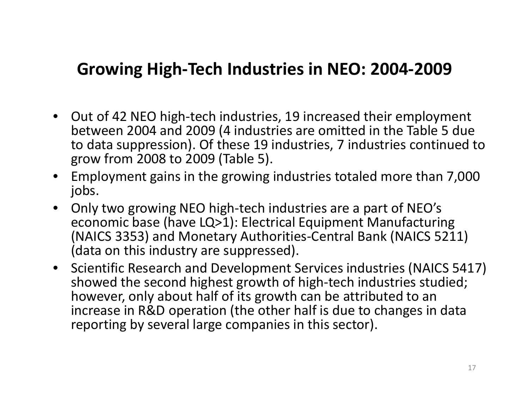#### **Growing High‐Tech Industries in NEO: 2004‐2009**

- Out of 42 NEO high‐tech industries, 19 increased their employment between 2004 and 2009 (4 industries are omitted in the Table 5 due to data suppression). Of these 19 industries, 7 industries continued to grow from 2008 to 2009 (Table 5).
- • Employment gains in the growing industries totaled more than 7,000 jobs.
- $\bullet$  Only two growing NEO high‐tech industries are <sup>a</sup> part of NEO's economic base (have LQ>1): Electrical Equipment Manufacturing (NAICS 3353) and Monetary Authorities‐Central Bank (NAICS 5211) (data on this industry are suppressed).
- Scientific Research and Development Services industries (NAICS 5417) showed the second highest growth of high‐tech industries studied; however, only about half of its growth can be attributed to an increase in R&D operation (the other half is due to changes in data reporting by several large companies in this sector).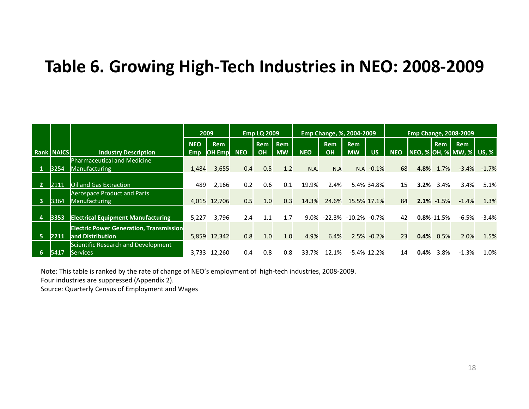#### **Table 6. Growing High‐Tech Industries in NEO: 2008‐2009**

|                         |                   |                                                | 2009       |                |            | <b>Emp LQ 2009</b> |            |            |            | Emp Change, %, 2004-2009 |                |            |      |                  | <b>Emp Change, 2008-2009</b> |         |
|-------------------------|-------------------|------------------------------------------------|------------|----------------|------------|--------------------|------------|------------|------------|--------------------------|----------------|------------|------|------------------|------------------------------|---------|
|                         |                   |                                                | <b>NEO</b> | <b>Rem</b>     |            | <b>Rem</b>         | <b>Rem</b> |            | <b>Rem</b> | <b>Rem</b>               |                |            |      | <b>Rem</b>       | <b>Rem</b>                   |         |
|                         | <b>Rank NAICS</b> | <b>Industry Description</b>                    | <b>Emp</b> | <b>OH Empl</b> | <b>NEO</b> | <b>OH</b>          | <b>MW</b>  | <b>NEO</b> | <b>OH</b>  | <b>MW</b>                | <b>US</b>      | <b>NEO</b> |      |                  | NEO, % OH, % MW, % US, %     |         |
|                         |                   | <b>Pharmaceutical and Medicine</b>             |            |                |            |                    |            |            |            |                          |                |            |      |                  |                              |         |
|                         | 3254              | Manufacturing                                  | 1,484      | 3,655          | 0.4        | 0.5                | 1.2        | N.A.       | N.A        | N.A                      | $-0.1\%$       | 68         | 4.8% | 1.7%             | $-3.4%$                      | $-1.7%$ |
|                         |                   |                                                |            |                |            |                    |            |            |            |                          |                |            |      |                  |                              |         |
|                         | 2111              | Oil and Gas Extraction                         | 489        | 2,166          | 0.2        | 0.6                | 0.1        | 19.9%      | 2.4%       |                          | 5.4% 34.8%     | 15         | 3.2% | 3.4%             | 3.4%                         | 5.1%    |
|                         |                   | <b>Aerospace Product and Parts</b>             |            |                |            |                    |            |            |            |                          |                |            |      |                  |                              |         |
| $\overline{\mathbf{3}}$ | 3364              | <b>Manufacturing</b>                           |            | 4,015 12,706   | 0.5        | 1.0                | 0.3        | 14.3%      | 24.6%      |                          | 15.5% 17.1%    | 84         |      | $2.1\% -1.5\%$   | $-1.4%$                      | 1.3%    |
|                         |                   |                                                |            |                |            |                    |            |            |            |                          |                |            |      |                  |                              |         |
| $\overline{4}$          | 3353              | <b>Electrical Equipment Manufacturing</b>      | 5,227      | 3.796          | 2.4        | 1.1                | 1.7        | 9.0%       | -22.3%     | -10.2%                   | -0.7%          | 42         |      | $0.8\% - 11.5\%$ | $-6.5%$                      | $-3.4%$ |
|                         |                   | <b>Electric Power Generation, Transmission</b> |            |                |            |                    |            |            |            |                          |                |            |      |                  |                              |         |
| -5                      | 2211              | and Distribution                               |            | 5,859 12,342   | 0.8        | 1.0                | 1.0        | 4.9%       | 6.4%       |                          | $2.5\% -0.2\%$ | 23         | 0.4% | 0.5%             | 2.0%                         | 1.5%    |
|                         |                   | Scientific Research and Development            |            |                |            |                    |            |            |            |                          |                |            |      |                  |                              |         |
| 6                       | 5417              | <b>Services</b>                                | 3.733      | 12.260         | 0.4        | 0.8                | 0.8        | 33.7%      | 12.1%      |                          | $-5.4\%$ 12.2% | 14         | 0.4% | 3.8%             | $-1.3%$                      | 1.0%    |

Note: This table is ranked by the rate of change of NEO's employment of high‐tech industries, 2008‐2009.

Four industries are suppressed (Appendix 2).

Source: Quarterly Census of Employment and Wages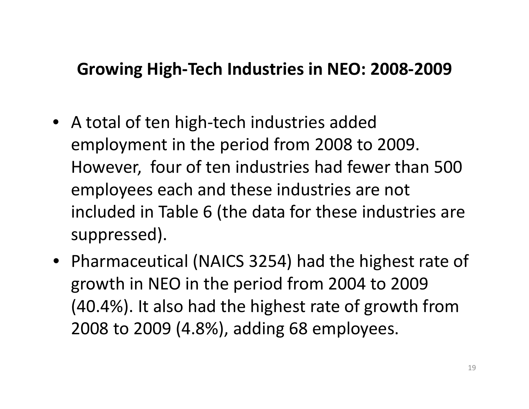#### **Growing High‐Tech Industries in NEO: 2008‐2009**

- A total of ten high‐tech industries added employment in the period from 2008 to 2009. However, four of ten industries had fewer than 500 employees each and these industries are not included in Table 6 (the data for these industries are suppressed).
- Pharmaceutical (NAICS 3254) had the highest rate of growth in NEO in the period from 2004 to 2009 (40.4%). It also had the highest rate of growth from 2008 to 2009 (4.8%), adding 68 employees.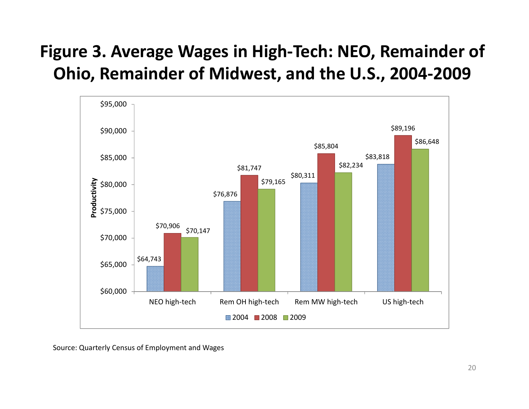## **Figure 3. Average Wages in High‐Tech: NEO, Remainder of Ohio, Remainder of Midwest, and the U.S., 2004‐2009**



Source: Quarterly Census of Employment and Wages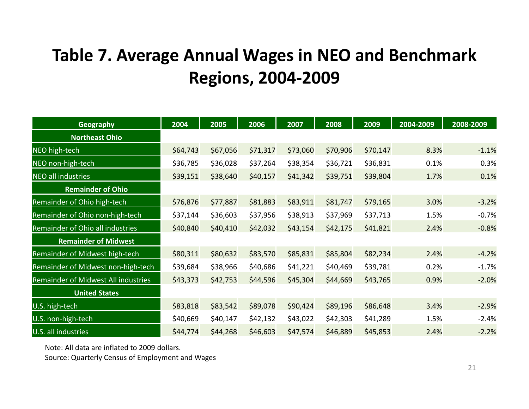#### **Table 7. Average Annual Wages in NEO and Benchmark Regions, 2004‐2009**

| <b>Geography</b>                           | 2004     | 2005     | 2006     | 2007     | 2008     | 2009     | 2004-2009 | 2008-2009 |
|--------------------------------------------|----------|----------|----------|----------|----------|----------|-----------|-----------|
| <b>Northeast Ohio</b>                      |          |          |          |          |          |          |           |           |
| NEO high-tech                              | \$64,743 | \$67,056 | \$71,317 | \$73,060 | \$70,906 | \$70,147 | 8.3%      | $-1.1%$   |
| NEO non-high-tech                          | \$36,785 | \$36,028 | \$37,264 | \$38,354 | \$36,721 | \$36,831 | 0.1%      | 0.3%      |
| <b>NEO all industries</b>                  | \$39,151 | \$38,640 | \$40,157 | \$41,342 | \$39,751 | \$39,804 | 1.7%      | 0.1%      |
| <b>Remainder of Ohio</b>                   |          |          |          |          |          |          |           |           |
| Remainder of Ohio high-tech                | \$76,876 | \$77,887 | \$81,883 | \$83,911 | \$81,747 | \$79,165 | 3.0%      | $-3.2%$   |
| Remainder of Ohio non-high-tech            | \$37,144 | \$36,603 | \$37,956 | \$38,913 | \$37,969 | \$37,713 | 1.5%      | $-0.7%$   |
| Remainder of Ohio all industries           | \$40,840 | \$40,410 | \$42,032 | \$43,154 | \$42,175 | \$41,821 | 2.4%      | $-0.8%$   |
| <b>Remainder of Midwest</b>                |          |          |          |          |          |          |           |           |
| Remainder of Midwest high-tech             | \$80,311 | \$80,632 | \$83,570 | \$85,831 | \$85,804 | \$82,234 | 2.4%      | $-4.2%$   |
| Remainder of Midwest non-high-tech         | \$39,684 | \$38,966 | \$40,686 | \$41,221 | \$40,469 | \$39,781 | 0.2%      | $-1.7%$   |
| <b>Remainder of Midwest All industries</b> | \$43,373 | \$42,753 | \$44,596 | \$45,304 | \$44,669 | \$43,765 | 0.9%      | $-2.0%$   |
| <b>United States</b>                       |          |          |          |          |          |          |           |           |
| U.S. high-tech                             | \$83,818 | \$83,542 | \$89,078 | \$90,424 | \$89,196 | \$86,648 | 3.4%      | $-2.9%$   |
| U.S. non-high-tech                         | \$40,669 | \$40,147 | \$42,132 | \$43,022 | \$42,303 | \$41,289 | 1.5%      | $-2.4%$   |
| U.S. all industries                        | \$44,774 | \$44,268 | \$46,603 | \$47,574 | \$46,889 | \$45,853 | 2.4%      | $-2.2%$   |

Note: All data are inflated to 2009 dollars.

Source: Quarterly Census of Employment and Wages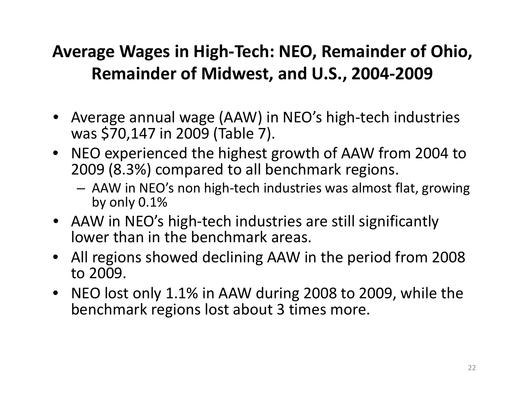#### **Average Wages in High‐Tech: NEO, Remainder of Ohio, Remainder of Midwest, and U.S., 2004‐2009**

- Average annual wage (AAW) in NEO's high‐tech industries was \$70,147 in 2009 (Table 7).
- NEO experienced the highest growth of AAW from 2004 to 2009 (8.3%) compared to all benchmark regions.
	- AAW in NEO's non high‐tech industries was almost flat, growing by only 0.1%
- AAW in NEO's high‐tech industries are still significantly lower than in the benchmark areas.
- All regions showed declining AAW in the period from 2008 to 2009.
- NEO lost only 1.1% in AAW during 2008 to 2009, while the benchmark regions lost about 3 times more.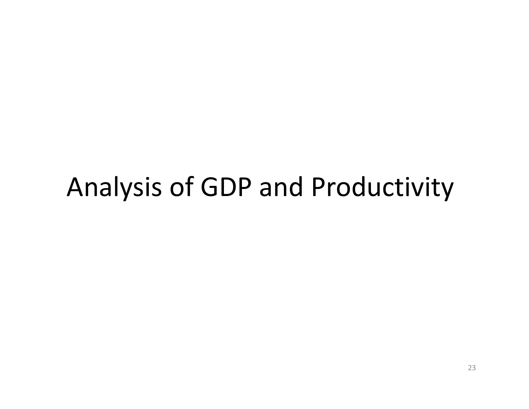## Analysis of GDP and Productivity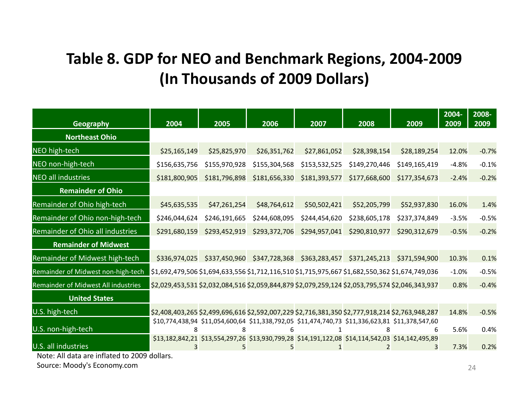#### **Table 8. GDP for NEO and Benchmark Regions, 2004‐2009 (In Thousands of 2009 Dollars)**

| Geography                           | 2004                                                                                            | 2005          | 2006          | 2007          | 2008                        | 2009                                                                                            | 2004-<br>2009 | 2008-<br>2009 |
|-------------------------------------|-------------------------------------------------------------------------------------------------|---------------|---------------|---------------|-----------------------------|-------------------------------------------------------------------------------------------------|---------------|---------------|
| <b>Northeast Ohio</b>               |                                                                                                 |               |               |               |                             |                                                                                                 |               |               |
| NEO high-tech                       | \$25,165,149                                                                                    | \$25,825,970  | \$26,351,762  | \$27,861,052  | \$28,398,154                | \$28,189,254                                                                                    | 12.0%         | $-0.7%$       |
| NEO non-high-tech                   | \$156,635,756                                                                                   | \$155,970,928 | \$155,304,568 | \$153,532,525 | \$149,270,446               | \$149,165,419                                                                                   | $-4.8%$       | $-0.1%$       |
| <b>NEO all industries</b>           | \$181,800,905                                                                                   | \$181,796,898 | \$181,656,330 | \$181,393,577 | \$177,668,600               | \$177,354,673                                                                                   | $-2.4%$       | $-0.2%$       |
| <b>Remainder of Ohio</b>            |                                                                                                 |               |               |               |                             |                                                                                                 |               |               |
| Remainder of Ohio high-tech         | \$45,635,535                                                                                    | \$47,261,254  | \$48,764,612  | \$50,502,421  | \$52,205,799                | \$52,937,830                                                                                    | 16.0%         | 1.4%          |
| Remainder of Ohio non-high-tech     | \$246,044,624                                                                                   | \$246,191,665 | \$244,608,095 | \$244,454,620 | \$238,605,178               | \$237,374,849                                                                                   | $-3.5%$       | $-0.5%$       |
| Remainder of Ohio all industries    | \$291,680,159                                                                                   | \$293,452,919 | \$293,372,706 | \$294,957,041 | \$290,810,977               | \$290,312,679                                                                                   | $-0.5%$       | $-0.2%$       |
| <b>Remainder of Midwest</b>         |                                                                                                 |               |               |               |                             |                                                                                                 |               |               |
| Remainder of Midwest high-tech      | \$336,974,025                                                                                   | \$337,450,960 | \$347,728,368 |               | \$363,283,457 \$371,245,213 | \$371,594,900                                                                                   | 10.3%         | 0.1%          |
| Remainder of Midwest non-high-tech  | \$1,692,479,506 \$1,694,633,556 \$1,712,116,510 \$1,715,975,667 \$1,682,550,362 \$1,674,749,036 |               |               |               |                             |                                                                                                 | $-1.0%$       | $-0.5%$       |
| Remainder of Midwest All industries | \$2,029,453,531 \$2,032,084,516 \$2,059,844,879 \$2,079,259,124 \$2,053,795,574 \$2,046,343,937 |               |               |               |                             |                                                                                                 | 0.8%          | $-0.4%$       |
| <b>United States</b>                |                                                                                                 |               |               |               |                             |                                                                                                 |               |               |
| U.S. high-tech                      | \$2,408,403,265 \$2,499,696,616 \$2,592,007,229 \$2,716,381,350 \$2,777,918,214 \$2,763,948,287 |               |               |               |                             |                                                                                                 | 14.8%         | $-0.5%$       |
| U.S. non-high-tech                  |                                                                                                 |               |               |               |                             | \$10,774,438,94 \$11,054,600,64 \$11,338,792,05 \$11,474,740,73 \$11,336,623,81 \$11,378,547,60 | 5.6%          | 0.4%          |
| U.S. all industries                 |                                                                                                 |               |               |               |                             | \$13,182,842,21 \$13,554,297,26 \$13,930,799,28 \$14,191,122,08 \$14,114,542,03 \$14,142,495,89 | 7.3%          | 0.2%          |

Note: All data are inflated to 2009 dollars.

Source: Moody's Economy.com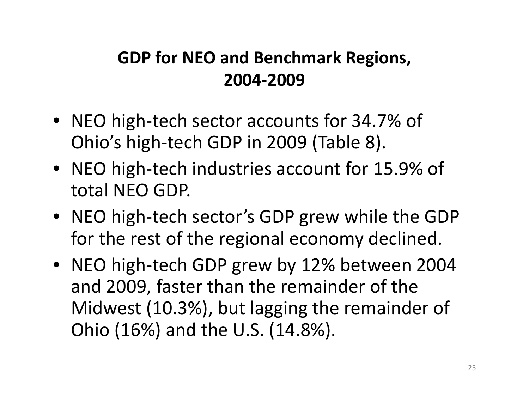#### **GDP for NEO and Benchmark Regions, 2004‐2009**

- NEO high‐tech sector accounts for 34.7% of Ohio's high‐tech GDP in 2009 (Table 8).
- NEO high‐tech industries account for 15.9% of total NEO GDP.
- NEO high‐tech sector's GDP grew while the GDP for the rest of the regional economy declined.
- NEO high‐tech GDP grew by 12% between 2004 and 2009, faster than the remainder of the Midwest (10.3%), but lagging the remainder of Ohio (16%) and the U.S. (14.8%).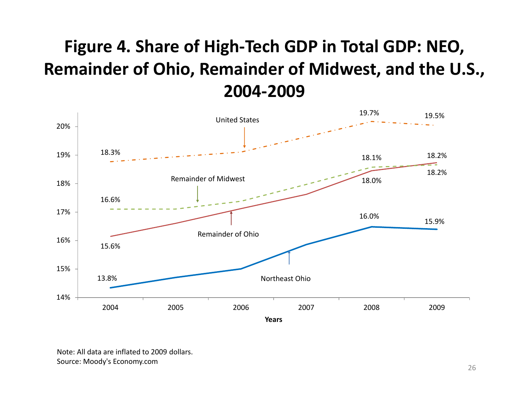#### **Figure 4. Share of High‐Tech GDP in Total GDP: NEO, Remainder of Ohio, Remainder of Midwest, and the U.S., 2004‐2009**



Note: All data are inflated to 2009 dollars. Source: Moody's Economy.com 26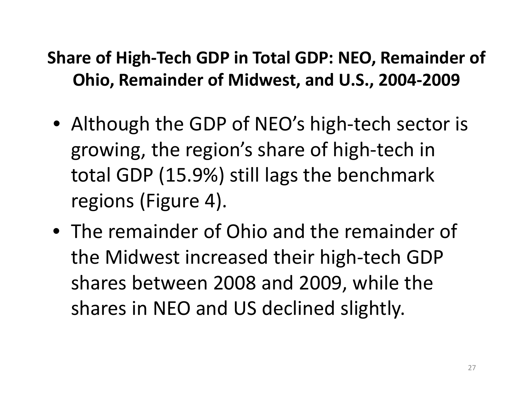## **Share of High‐Tech GDP in Total GDP: NEO, Remainder of Ohio, Remainder of Midwest, and U.S., 2004‐2009**

- Although the GDP of NEO's high‐tech sector is growing, the region's share of high‐tech in total GDP (15.9%) still lags the benchmark regions (Figure 4).
- The remainder of Ohio and the remainder of the Midwest increased their high‐tech GDP shares between 2008 and 2009, while the shares in NEO and US declined slightly.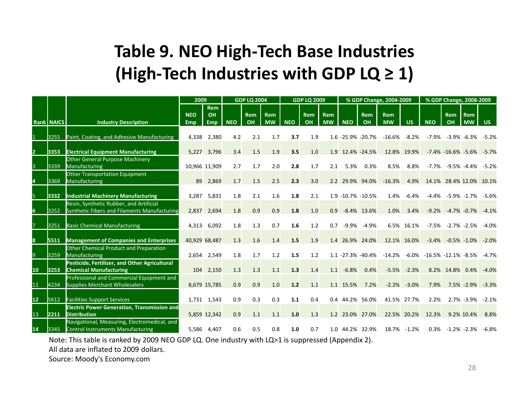#### **Table 9. NEO High‐Tech Base Industries (High‐Tech Industries with GDP LQ ≥ 1)**

|                 |                   |                                                    | 2009       |               |            | <b>GDP LQ 2004</b> |           |            | <b>GDP LQ 2009</b> |            |                   |                | % GDP Change, 2004-2009 |             |                                                 | % GDP Change, 2008-2009    |                 |         |
|-----------------|-------------------|----------------------------------------------------|------------|---------------|------------|--------------------|-----------|------------|--------------------|------------|-------------------|----------------|-------------------------|-------------|-------------------------------------------------|----------------------------|-----------------|---------|
|                 |                   |                                                    |            | <b>Rem</b>    |            |                    |           |            |                    |            |                   |                |                         |             |                                                 |                            |                 |         |
|                 |                   |                                                    | <b>NEO</b> | OH            |            | <b>Rem</b>         | Rem       |            | <b>Rem</b>         | <b>Rem</b> |                   | <b>Rem</b>     | <b>Rem</b>              |             |                                                 | <b>Rem</b>                 | <b>Rem</b>      |         |
|                 | <b>Rank NAICS</b> | <b>Industry Description</b>                        | Emp        | Emp.          | <b>NEO</b> | OH                 | <b>MW</b> | <b>NEO</b> | OH                 | <b>MW</b>  | <b>NEO</b>        | OH             | <b>MW</b>               | <b>US</b>   | <b>NEO</b>                                      | OH                         | <b>MW</b>       | US.     |
|                 |                   |                                                    |            |               |            |                    |           |            |                    |            |                   |                |                         |             |                                                 |                            |                 |         |
|                 | 3255              | Paint, Coating, and Adhesive Manufacturing         | 4,338      | 2,380         | 4.2        | 2.1                | 1.7       | 3.7        | 1.9                |            | 1.6 -25.9% -20.7% |                | $-16.6\%$               | $-8.2%$     | $-7.9%$                                         |                            | $-3.9\% -6.3\%$ | $-5.2%$ |
|                 |                   |                                                    |            |               |            |                    |           |            |                    |            |                   |                |                         |             |                                                 |                            |                 |         |
| $\overline{2}$  | 3353              | <b>Electrical Equipment Manufacturing</b>          |            | 5,227 3,796   | 3.4        | 1.5                | 1.9       | 3.5        | 1.0                |            | 1.9 12.4% -24.5%  |                |                         | 12.8% 19.9% |                                                 | $-7.4\% -16.6\% -5.6\%$    |                 | $-5.7%$ |
|                 |                   | Other General Purpose Machinery                    |            |               |            |                    |           |            |                    |            |                   |                |                         |             |                                                 |                            |                 |         |
| 3               | 3339              | Manufacturing                                      |            | 10,966 11,909 | 2.7        | 1.7                | 2.0       | 2.8        | 1.7                | 2.1        | 5.3%              | 0.3%           | 8.5%                    | 8.8%        | $-7.7%$                                         |                            | -9.5% -4.4%     | -5.2%   |
|                 |                   | Other Transportation Equipment                     |            |               |            |                    |           |            |                    |            |                   |                |                         |             |                                                 |                            |                 |         |
|                 | 3369              | Manufacturing                                      | 89         | 2,869         | 1.7        | 1.5                | 2.5       | 2.3        | 3.0                |            | 2.2 29.9% 94.0%   |                | $-16.3%$                | 4.9%        |                                                 | 14.1% 28.4% 12.0% 10.1%    |                 |         |
|                 |                   |                                                    |            |               |            |                    |           |            |                    |            |                   |                |                         |             |                                                 |                            |                 |         |
| 5.              | 3332              | <b>Industrial Machinery Manufacturing</b>          | 3.287      | 5,831         | 1.8        | 2.1                | 1.6       | 1.8        | 2.1                |            | 1.9 -10.7% -10.5% |                | 1.4%                    | $-6.4%$     |                                                 | $-4.4\%$ $-5.9\%$ $-1.7\%$ |                 | -5.6%   |
|                 |                   | Resin, Synthetic Rubber, and Artificial            |            |               |            |                    |           |            |                    |            |                   |                |                         |             |                                                 |                            |                 |         |
| 6               | 3252              | Synthetic Fibers and Filaments Manufacturing       | 2,837      | 2,694         | 1.8        | 0.9                | 0.9       | 1.8        | 1.0                | 0.9        |                   | $-8.4\%$ 13.6% | 1.0%                    | 3.4%        | $-9.2%$                                         |                            | $-4.7\% -0.7\%$ | $-4.1%$ |
|                 | 3251              |                                                    |            | 6,092         | 1.8        | 1.3                | 0.7       | 1.6        | 1.2                | 0.7        | -9.9%             |                |                         | 6.5% 16.1%  | $-7.5%$                                         |                            | $-2.7\% -2.5\%$ | $-4.0%$ |
|                 |                   | <b>Basic Chemical Manufacturing</b>                | 4,313      |               |            |                    |           |            |                    |            |                   | $-4.9%$        |                         |             |                                                 |                            |                 |         |
| 8               | 5511              | <b>Management of Companies and Enterprises</b>     |            | 40,929 68,487 | 1.3        | 1.6                | 1.4       | 1.5        | 1.9                |            | 1.4 26.9% 24.0%   |                |                         | 12.1% 16.0% |                                                 | $-3.4\% -0.5\% -1.0\%$     |                 | $-2.0%$ |
|                 |                   | Other Chemical Product and Preparation             |            |               |            |                    |           |            |                    |            |                   |                |                         |             |                                                 |                            |                 |         |
| 9               | 3259              | Manufacturing                                      | 2,654      | 2,549         | 1.8        | 1.7                | 1.2       | 1.5        | 1.2                |            | 1.1 -27.3% -40.4% |                |                         |             | $-14.2\%$ $-6.0\%$ $-16.5\%$ $-12.1\%$ $-8.5\%$ |                            |                 | $-4.7%$ |
|                 |                   | Pesticide, Fertilizer, and Other Agricultural      |            |               |            |                    |           |            |                    |            |                   |                |                         |             |                                                 |                            |                 |         |
| 10              | 3253              | <b>Chemical Manufacturing</b>                      | 104        | 2,150         | 1.3        | 1.3                | 1.1       | 1.3        | 1.4                | 1.1        | $-6.8%$           | 0.4%           | $-5.5%$                 | $-2.3%$     | 8.2%                                            | 14.8% 0.4%                 |                 | $-4.0%$ |
|                 |                   | Professional and Commercial Equipment and          |            |               |            |                    |           |            |                    |            |                   |                |                         |             |                                                 |                            |                 |         |
| 11              | 4234              | <b>Supplies Merchant Wholesalers</b>               |            | 8,679 15,785  | 0.9        | 0.9                | 1.0       | 1.2        | 1.1                |            | 1.1 15.5%         | 7.2%           | $-2.2%$                 | $-3.0%$     | 7.9%                                            |                            | 7.5% -2.9%      | $-3.3%$ |
|                 |                   |                                                    |            |               |            |                    |           |            |                    |            |                   |                |                         |             |                                                 |                            |                 |         |
| 12 <sup>7</sup> | 5612              | <b>Facilities Support Services</b>                 |            | 1,731 1,543   | 0.9        | 0.3                | 0.3       | 1.1        | 0.4                |            | 0.4 44.2% 56.0%   |                |                         | 41.5% 27.7% | 2.2%                                            |                            | 2.7% -3.9%      | $-2.1%$ |
|                 |                   | <b>Electric Power Generation, Transmission and</b> |            |               |            |                    |           |            |                    |            |                   |                |                         |             |                                                 |                            |                 |         |
| 13              | 2211              | <b>Distribution</b>                                |            | 5,859 12,342  | 0.9        | 1.1                | 1.1       | 1.0        | 1.3                |            | 1.2 23.0% 27.0%   |                |                         | 22.5% 20.2% | 12.3%                                           |                            | 9.2% 10.4%      | 8.8%    |
|                 |                   | Navigational, Measuring, Electromedical, and       |            |               |            |                    |           |            |                    |            |                   |                |                         |             |                                                 |                            |                 |         |
| 14              | 3345              | <b>Control Instruments Manufacturing</b>           |            | 5,586 4,407   | 0.6        | 0.5                | 0.8       | 1.0        | 0.7                | 1.0        |                   | 44.2% 32.9%    | 18.7%                   | $-1.2%$     | 0.3%                                            | $-1.2\% -2.3\%$            |                 | $-6.8%$ |
|                 |                   |                                                    |            |               |            |                    |           |            |                    |            |                   |                |                         |             |                                                 |                            |                 |         |

Note: This table is ranked by 2009 NEO GDP LQ. One industry with LQ>1 is suppressed (Appendix 2).

All data are inflated to 2009 dollars.

Source: Moody's Economy.com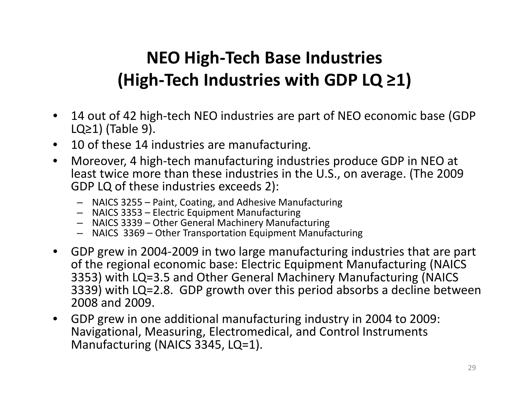#### **NEO High‐Tech Base Industries (High‐Tech Industries with GDP LQ ≥1)**

- $\bullet$  14 out of 42 high‐tech NEO industries are part of NEO economic base (GDP LQ $\geq$ 1) (Table 9).
- •10 of these 14 industries are manufacturing.
- • Moreover, 4 high‐tech manufacturing industries produce GDP in NEO at least twice more than these industries in the U.S., on average. (The 2009 GDP LQ of these industries exceeds 2):
	- NAICS 3255 Paint, Coating, and Adhesive Manufacturing
	- NAICS 3353 Electric Equipment Manufacturing
	- NAICS 3339 Other General Machinery Manufacturing
	- NAICS 3369 Other Transportation Equipment Manufacturing
- $\bullet$ ● GDP grew in 2004-2009 in two large manufacturing industries that are part of the regional economic base: Electric Equipment Manufacturing (NAICS 3353) with LQ=3.5 and Other General Machinery Manufacturing (NAICS 3339) with LQ=2.8. GDP growth over this period absorbs <sup>a</sup> decline between 2008 and 2009.
- • GDP grew in one additional manufacturing industry in 2004 to 2009: Navigational, Measuring, Electromedical, and Control Instruments Manufacturing (NAICS 3345, LQ=1).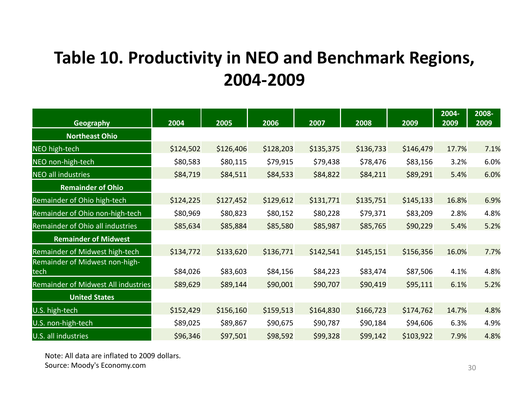#### **Table 10. Productivity in NEO and Benchmark Regions, 2004‐2009**

| <b>Geography</b>                       | 2004      | 2005      | 2006      | 2007      | 2008      | 2009      | 2004-<br>2009 | 2008-<br>2009 |
|----------------------------------------|-----------|-----------|-----------|-----------|-----------|-----------|---------------|---------------|
| <b>Northeast Ohio</b>                  |           |           |           |           |           |           |               |               |
| NEO high-tech                          | \$124,502 | \$126,406 | \$128,203 | \$135,375 | \$136,733 | \$146,479 | 17.7%         | 7.1%          |
| NEO non-high-tech                      | \$80,583  | \$80,115  | \$79,915  | \$79,438  | \$78,476  | \$83,156  | 3.2%          | 6.0%          |
| <b>NEO all industries</b>              | \$84,719  | \$84,511  | \$84,533  | \$84,822  | \$84,211  | \$89,291  | 5.4%          | 6.0%          |
| <b>Remainder of Ohio</b>               |           |           |           |           |           |           |               |               |
| Remainder of Ohio high-tech            | \$124,225 | \$127,452 | \$129,612 | \$131,771 | \$135,751 | \$145,133 | 16.8%         | 6.9%          |
| Remainder of Ohio non-high-tech        | \$80,969  | \$80,823  | \$80,152  | \$80,228  | \$79,371  | \$83,209  | 2.8%          | 4.8%          |
| Remainder of Ohio all industries       | \$85,634  | \$85,884  | \$85,580  | \$85,987  | \$85,765  | \$90,229  | 5.4%          | 5.2%          |
| <b>Remainder of Midwest</b>            |           |           |           |           |           |           |               |               |
| Remainder of Midwest high-tech         | \$134,772 | \$133,620 | \$136,771 | \$142,541 | \$145,151 | \$156,356 | 16.0%         | 7.7%          |
| Remainder of Midwest non-high-<br>tech | \$84,026  | \$83,603  | \$84,156  | \$84,223  | \$83,474  | \$87,506  | 4.1%          | 4.8%          |
| Remainder of Midwest All industries    | \$89,629  | \$89,144  | \$90,001  | \$90,707  | \$90,419  | \$95,111  | 6.1%          | 5.2%          |
| <b>United States</b>                   |           |           |           |           |           |           |               |               |
| U.S. high-tech                         | \$152,429 | \$156,160 | \$159,513 | \$164,830 | \$166,723 | \$174,762 | 14.7%         | 4.8%          |
| U.S. non-high-tech                     | \$89,025  | \$89,867  | \$90,675  | \$90,787  | \$90,184  | \$94,606  | 6.3%          | 4.9%          |
| U.S. all industries                    | \$96,346  | \$97,501  | \$98,592  | \$99,328  | \$99,142  | \$103,922 | 7.9%          | 4.8%          |

Note: All data are inflated to 2009 dollars.  $\mathsf{Source}\colon \mathsf{Moody}\text{'s}\ \mathsf{Economy.com} \hspace{2cm} 30$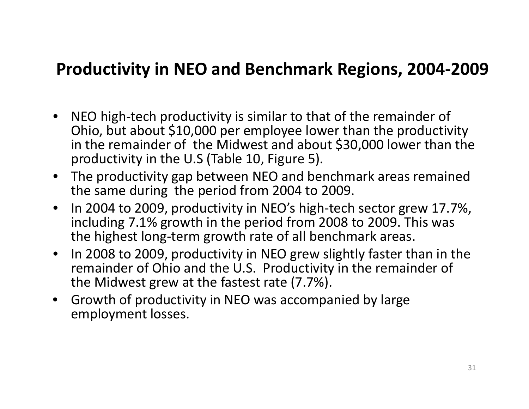#### **Productivity in NEO and Benchmark Regions, 2004‐2009**

- •● NEO high-tech productivity is similar to that of the remainder of Ohio, but about \$10,000 per employee lower than the productivity in the remainder of the Midwest and about \$30,000 lower than the productivity in the U.S (Table 10, Figure 5).
- The productivity gap between NEO and benchmark areas remained the same during the period from 2004 to 2009.
- $\bullet$ • In 2004 to 2009, productivity in NEO's high-tech sector grew 17.7%, including 7.1% growth in the period from 2008 to 2009. This was the highest long‐term growth rate of all benchmark areas.
- $\bullet$ • In 2008 to 2009, productivity in NEO grew slightly faster than in the remainder of Ohio and the U.S. Productivity in the remainder of the Midwest grew at the fastest rate (7.7%).
- $\bullet$ • Growth of productivity in NEO was accompanied by large employment losses.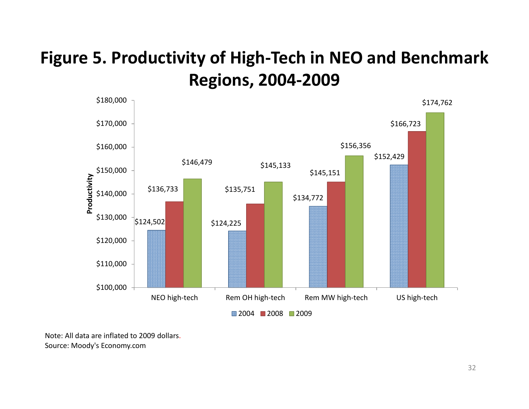#### **Figure 5. Productivity of High‐Tech in NEO and Benchmark Regions, 2004‐2009**



Note: All data are inflated to 2009 dollars. Source: Moody's Economy.com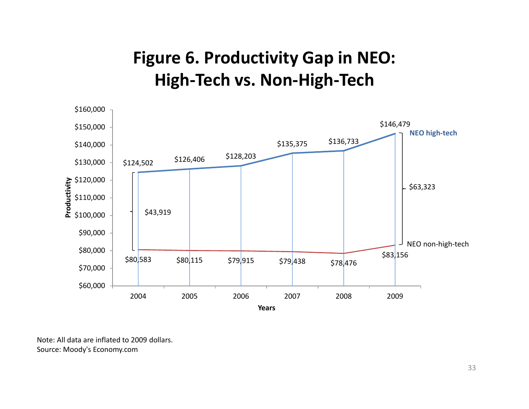#### **Figure 6. Productivity Gap in NEO: High‐Tech vs. Non‐High‐Tech**



Note: All data are inflated to 2009 dollars. Source: Moody's Economy.com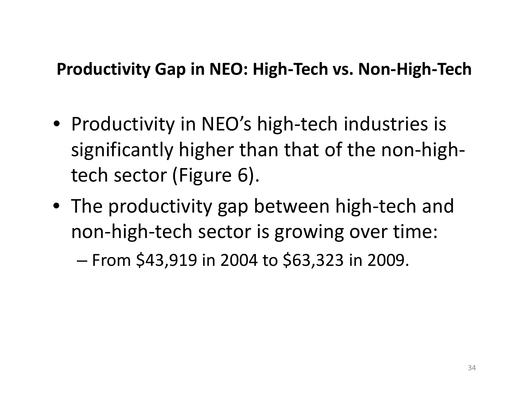#### **Productivity Gap in NEO: High‐Tech vs. Non‐High‐Tech**

- Productivity in NEO's high‐tech industries is significantly higher than that of the non‐high‐ tech sector (Figure 6).
- The productivity gap between high‐tech and non‐high‐tech sector is growing over time:

– From \$43,919 in 2004 to \$63,323 in 2009.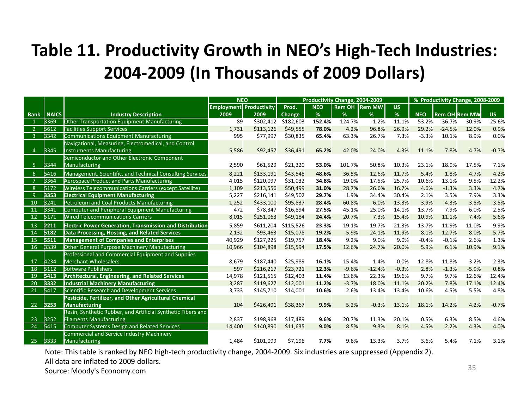#### **Table 11. Productivity Growth in NEO's High‐Tech Industries: 2004‐2009 (In Thousands of 2009 Dollars)**

|                |              |                                                                 | <b>NEO</b>                     |           |           |            | Productivity Change, 2004-2009 |                        |           |            |                      | % Productivity Change, 2008-2009 |           |
|----------------|--------------|-----------------------------------------------------------------|--------------------------------|-----------|-----------|------------|--------------------------------|------------------------|-----------|------------|----------------------|----------------------------------|-----------|
|                |              |                                                                 | <b>Employment Productivity</b> |           | Prod.     | <b>NEO</b> |                                | <b>Rem OH   Rem MW</b> | <b>US</b> |            |                      |                                  |           |
| Rank           | <b>NAICS</b> | <b>Industry Description</b>                                     | 2009                           | 2009      | Change    | %          | %                              | %                      | %         | <b>NEO</b> | <b>Rem OH Rem MW</b> |                                  | <b>US</b> |
|                | 3369         | Other Transportation Equipment Manufacturing                    | 89                             | \$302,412 | \$182,603 | 152.4%     | 124.7%                         | $-1.2%$                | 11.1%     | 53.2%      | 36.7%                | 30.9%                            | 25.6%     |
| $\overline{2}$ | 5612         | <b>Facilities Support Services</b>                              | 1,731                          | \$113,126 | \$49,555  | 78.0%      | 4.2%                           | 96.8%                  | 26.9%     | 29.2%      | $-24.5%$             | 12.0%                            | 0.9%      |
| - 3            | 3342         | Communications Equipment Manufacturing                          | 995                            | \$77,997  | \$30,835  | 65.4%      | 63.3%                          | 26.7%                  | 7.3%      | $-3.3%$    | 10.1%                | 8.9%                             | 0.0%      |
|                |              | Navigational, Measuring, Electromedical, and Control            |                                |           |           |            |                                |                        |           |            |                      |                                  |           |
| $\overline{4}$ | 3345         | Instruments Manufacturing                                       | 5,586                          | \$92,457  | \$36,491  | 65.2%      | 42.0%                          | 24.0%                  | 4.3%      | 11.1%      | 7.8%                 | 4.7%                             | $-0.7%$   |
|                |              | Semiconductor and Other Electronic Component                    |                                |           |           |            |                                |                        |           |            |                      |                                  |           |
| -5             | 3344         | Manufacturing                                                   | 2,590                          | \$61,529  | \$21,320  | 53.0%      | 101.7%                         | 50.8%                  | 10.3%     | 23.1%      | 18.9%                | 17.5%                            | 7.1%      |
| 6              | 5416         | Management, Scientific, and Technical Consulting Services       | 8,221                          | \$133,191 | \$43,548  | 48.6%      | 36.5%                          | 12.6%                  | 11.7%     | 5.4%       | 1.8%                 | 4.7%                             | 4.2%      |
| - 7            | 3364         | <b>Aerospace Product and Parts Manufacturing</b>                | 4,015                          | \$120,097 | \$31,032  | 34.8%      | 19.0%                          | 17.5%                  | 25.7%     | 10.6%      | 13.1%                | 9.5%                             | 12.2%     |
| 8              | 5172         | Wireless Telecommunications Carriers (except Satellite)         | 1,109                          | \$213,556 | \$50,499  | 31.0%      | 28.7%                          | 26.6%                  | 16.7%     | 4.6%       | $-1.3%$              | 3.3%                             | 4.7%      |
| -9             | <b>B353</b>  | <b>Electrical Equipment Manufacturing</b>                       | 5,227                          | \$216,141 | \$49,502  | 29.7%      | 1.9%                           | 34.4%                  | 30.4%     | 2.1%       | 3.5%                 | 7.9%                             | 3.3%      |
| 10             | 3241         | Petroleum and Coal Products Manufacturing                       | 1,252                          | \$433,100 | \$95,837  | 28.4%      | 60.8%                          | 6.0%                   | 13.3%     | 3.9%       | 4.3%                 | 3.5%                             | 3.5%      |
| 11             | 3341         | Computer and Peripheral Equipment Manufacturing                 | 472                            | \$78,347  | \$16,894  | 27.5%      | 45.1%                          | 25.0%                  | 14.1%     | 13.7%      | 7.9%                 | 6.0%                             | 2.5%      |
| 12             | 5171         | <b>Wired Telecommunications Carriers</b>                        | 8,015                          | \$251,063 | \$49,184  | 24.4%      | 20.7%                          | 7.3%                   | 15.4%     | 10.9%      | 11.1%                | 7.4%                             | 5.6%      |
| 13             | 2211         | <b>Electric Power Generation, Transmission and Distribution</b> | 5,859                          | \$611,204 | \$115.526 | 23.3%      | 19.1%                          | 19.7%                  | 21.3%     | 13.7%      | 11.9%                | 11.0%                            | 9.9%      |
| 14             | 5182         | Data Processing, Hosting, and Related Services                  | 2,132                          | \$93,463  | \$15,078  | 19.2%      | $-5.9%$                        | 24.1%                  | 11.9%     | 8.1%       | 12.7%                | 8.0%                             | 5.7%      |
| 15             | 5511         | <b>Management of Companies and Enterprises</b>                  | 40,929                         | \$127,225 | \$19,757  | 18.4%      | 9.2%                           | 9.0%                   | 9.0%      | $-0.4%$    | $-0.1%$              | 2.6%                             | 1.3%      |
| 16             | 3339         | Other General Purpose Machinery Manufacturing                   | 10,966                         | \$104,898 | \$15,594  | 17.5%      | 12.6%                          | 24.7%                  | 20.0%     | 5.9%       | 6.1%                 | 10.9%                            | 9.1%      |
|                |              | Professional and Commercial Equipment and Supplies              |                                |           |           |            |                                |                        |           |            |                      |                                  |           |
| 17             | 4234         | <b>Merchant Wholesalers</b>                                     | 8,679                          | \$187,440 | \$25,989  | 16.1%      | 15.4%                          | 1.4%                   | 0.0%      | 12.8%      | 11.8%                | 3.2%                             | 2.3%      |
| 18             | 5112         | Software Publishers                                             | 597                            | \$216,217 | \$23,721  | 12.3%      | $-9.6%$                        | $-12.4%$               | $-0.3%$   | 2.8%       | $-1.3%$              | $-5.9%$                          | 0.8%      |
| 19             | 5413         | <b>Architectural, Engineering, and Related Services</b>         | 14,978                         | \$121,515 | \$12,403  | 11.4%      | 13.6%                          | 22.3%                  | 19.6%     | 9.7%       | 9.7%                 | 12.6%                            | 12.4%     |
| 20             | 3332         | <b>Industrial Machinery Manufacturing</b>                       | 3,287                          | \$119,627 | \$12,001  | 11.2%      | $-3.7%$                        | 18.0%                  | 11.1%     | 20.2%      | 7.8%                 | 17.1%                            | 12.4%     |
| 21             | 5417         | Scientific Research and Development Services                    | 3,733                          | \$145,710 | \$14,001  | 10.6%      | 2.6%                           | 13.4%                  | 13.4%     | 10.6%      | 4.5%                 | 5.5%                             | 4.8%      |
|                |              | Pesticide, Fertilizer, and Other Agricultural Chemical          |                                |           |           |            |                                |                        |           |            |                      |                                  |           |
| 22             | 3253         | <b>Manufacturing</b>                                            | 104                            | \$426,491 | \$38,367  | 9.9%       | 5.2%                           | $-0.3%$                | 13.1%     | 18.1%      | 14.2%                | 4.2%                             | $-0.7%$   |
|                |              | Resin, Synthetic Rubber, and Artificial Synthetic Fibers and    |                                |           |           |            |                                |                        |           |            |                      |                                  |           |
| 23             | 3252         | <b>Filaments Manufacturing</b>                                  | 2,837                          | \$198,968 | \$17,489  | 9.6%       | 20.7%                          | 11.3%                  | 20.1%     | 0.5%       | 6.3%                 | 8.5%                             | 4.6%      |
| 24             | 5415         | Computer Systems Design and Related Services                    | 14,400                         | \$140,890 | \$11,635  | 9.0%       | 8.5%                           | 9.3%                   | 8.1%      | 4.5%       | 2.2%                 | 4.3%                             | 4.0%      |
|                |              | Commercial and Service Industry Machinery                       |                                |           |           |            |                                |                        |           |            |                      |                                  |           |
| 25             | 3333         | <b>Manufacturing</b>                                            | 1,484                          | \$101,099 | \$7,196   | 7.7%       | 9.6%                           | 13.3%                  | 3.7%      | 3.6%       | 5.4%                 | 7.1%                             | 3.1%      |

Note: This table is ranked by NEO high‐tech productivity change, 2004‐2009. Six industries are suppressed (Appendix 2). All data are inflated to 2009 dollars. Source: Moody's Economy.com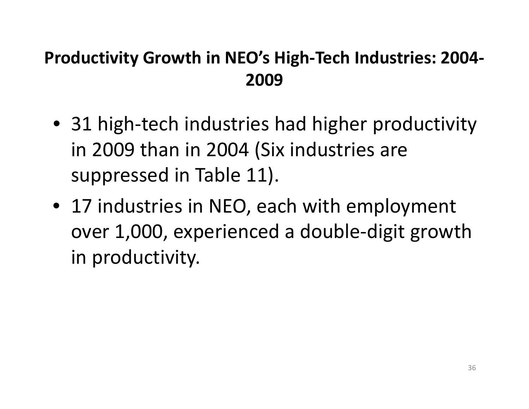#### **Productivity Growth in NEO's High‐Tech Industries: 2004‐ 2009**

- 31 high‐tech industries had higher productivity in 2009 than in 2004 (Six industries are suppressed in Table 11).
- 17 industries in NEO, each with employment over 1,000, experienced <sup>a</sup> double‐digit growth in productivity.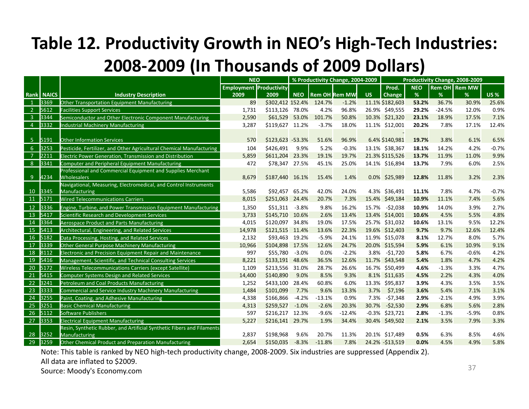## **Table 12. Productivity Growth in NEO's High‐Tech Industries: 2008‐2009 (In Thousands of 2009 Dollars)**

|                 |              |                                                                                         | <b>NEO</b>                     |                  |            |          | % Productivity Change, 2004-2009 |      |                   |            |          | Productivity Change, 2008-2009 |            |
|-----------------|--------------|-----------------------------------------------------------------------------------------|--------------------------------|------------------|------------|----------|----------------------------------|------|-------------------|------------|----------|--------------------------------|------------|
|                 |              |                                                                                         | <b>Employment Productivity</b> |                  |            |          |                                  |      | Prod.             | <b>NEO</b> |          | <b>Rem OH</b> Rem MW           |            |
| Rank            | <b>NAICS</b> | <b>Industry Description</b>                                                             | 2009                           | 2009             | <b>NEO</b> |          | <b>Rem OH Rem MW</b>             | US.  | Change            | %          | %        | %                              | <b>US%</b> |
| $\mathbf{1}$    | 3369         | Other Transportation Equipment Manufacturing                                            | 89                             | \$302,412 152.4% |            | 124.7%   | $-1.2%$                          |      | 11.1% \$182,603   | 53.2%      | 36.7%    | 30.9%                          | 25.6%      |
| $\overline{2}$  | 5612         | <b>Facilities Support Services</b>                                                      | 1,731                          | \$113,126 78.0%  |            | 4.2%     | 96.8%                            |      | 26.9% \$49,555    | 29.2%      | $-24.5%$ | 12.0%                          | 0.9%       |
| $\overline{3}$  | 3344         | Semiconductor and Other Electronic Component Manufacturing                              | 2,590                          | \$61,529 53.0%   |            | 101.7%   | 50.8%                            |      | 10.3% \$21,320    | 23.1%      | 18.9%    | 17.5%                          | 7.1%       |
| $\overline{4}$  | 3332         | <b>Industrial Machinery Manufacturing</b>                                               | 3,287                          | \$119,627 11.2%  |            | $-3.7%$  | 18.0%                            |      | 11.1% \$12,001    | 20.2%      | 7.8%     | 17.1%                          | 12.4%      |
|                 |              |                                                                                         |                                |                  |            |          |                                  |      |                   |            |          |                                |            |
| 5 <sub>5</sub>  | 5191         | <b>Other Information Services</b>                                                       | 570                            | \$123,623 -53.3% |            | 51.6%    | 96.9%                            |      | 6.4% \$140,981    | 19.7%      | 3.8%     | 6.1%                           | 6.5%       |
| 6               | 3253         | Pesticide, Fertilizer, and Other Agricultural Chemical Manufacturing                    | 104                            | \$426,491        | 9.9%       | 5.2%     | $-0.3%$                          |      | 13.1% \$38,367    | 18.1%      | 14.2%    | 4.2%                           | $-0.7%$    |
| $\overline{7}$  | 2211         | Electric Power Generation, Transmission and Distribution                                | 5,859                          | \$611,204        | 23.3%      | 19.1%    | 19.7%                            |      | 21.3% \$115,526   | 13.7%      | 11.9%    | 11.0%                          | 9.9%       |
| 8               | 3341         | Computer and Peripheral Equipment Manufacturing                                         | 472                            | \$78,347 27.5%   |            | 45.1%    | 25.0%                            |      | 14.1% \$16,894    | 13.7%      | 7.9%     | 6.0%                           | 2.5%       |
|                 |              | Professional and Commercial Equipment and Supplies Merchant                             |                                |                  |            |          |                                  |      |                   |            |          |                                |            |
| 9               | 4234         | <b>Wholesalers</b>                                                                      | 8,679                          | \$187,440 16.1%  |            | 15.4%    | 1.4%                             |      | 0.0% \$25,989     | 12.8%      | 11.8%    | 3.2%                           | 2.3%       |
|                 |              | Navigational, Measuring, Electromedical, and Control Instruments                        |                                |                  |            |          |                                  |      |                   |            |          |                                |            |
| 10 <sup>°</sup> | 3345         | Manufacturing                                                                           | 5,586                          | \$92,457 65.2%   |            | 42.0%    | 24.0%                            |      | 4.3% \$36,491     | 11.1%      | 7.8%     | 4.7%                           | $-0.7%$    |
| 11 5171         |              | <b>Wired Telecommunications Carriers</b>                                                | 8,015                          | \$251,063 24.4%  |            | 20.7%    | 7.3%                             |      | 15.4% \$49,184    | 10.9%      | 11.1%    | 7.4%                           | 5.6%       |
| 12              | 3336         | Engine, Turbine, and Power Transmission Equipment Manufacturing                         | 1,350                          | \$51,311         | $-3.8%$    | 9.8%     | 16.2%                            |      | 15.7% - \$2,038   | 10.9%      | 14.0%    | 3.9%                           | 2.7%       |
| 13              | 5417         | Scientific Research and Development Services                                            | 3,733                          | \$145,710        | 10.6%      | 2.6%     | 13.4%                            |      | 13.4% \$14,001    | 10.6%      | 4.5%     | 5.5%                           | 4.8%       |
| 14              | 3364         | <b>Aerospace Product and Parts Manufacturing</b>                                        | 4,015                          | \$120,097        | 34.8%      | 19.0%    | 17.5%                            |      | 25.7% \$31,032    | 10.6%      | 13.1%    | 9.5%                           | 12.2%      |
| 15              | 5413         | Architectural, Engineering, and Related Services                                        | 14,978                         | \$121,515 11.4%  |            | 13.6%    | 22.3%                            |      | 19.6% \$12,403    | 9.7%       | 9.7%     | 12.6%                          | 12.4%      |
| 16              | 5182         | Data Processing, Hosting, and Related Services                                          | 2,132                          | \$93,463 19.2%   |            | $-5.9%$  | 24.1%                            |      | 11.9% \$15,078    | 8.1%       | 12.7%    | 8.0%                           | 5.7%       |
| 17              | 3339         | <b>Other General Purpose Machinery Manufacturing</b>                                    | 10,966                         | \$104,898        | 17.5%      | 12.6%    | 24.7%                            |      | 20.0% \$15,594    | 5.9%       | 6.1%     | 10.9%                          | 9.1%       |
| 18              | 8112         | Electronic and Precision Equipment Repair and Maintenance                               | 997                            | \$55,780         | $-3.0%$    | 0.0%     | $-2.2%$                          |      | 3.8% -\$1,720     | 5.8%       | 6.7%     | $-0.6%$                        | 4.2%       |
| 19              | 5416         | Management, Scientific, and Technical Consulting Services                               | 8,221                          | \$133,191        | 48.6%      | 36.5%    | 12.6%                            |      | 11.7% \$43,548    | 5.4%       | 1.8%     | 4.7%                           | 4.2%       |
| 20              | 5172         | Wireless Telecommunications Carriers (except Satellite)                                 | 1,109                          | \$213,556        | 31.0%      | 28.7%    | 26.6%                            |      | 16.7% \$50,499    | 4.6%       | $-1.3%$  | 3.3%                           | 4.7%       |
| 21              | 5415         | <b>Computer Systems Design and Related Services</b>                                     | 14,400                         | \$140,890        | 9.0%       | 8.5%     | 9.3%                             |      | 8.1% \$11,635     | 4.5%       | 2.2%     | 4.3%                           | 4.0%       |
| 22              | 3241         | Petroleum and Coal Products Manufacturing                                               | 1,252                          | \$433,100        | 28.4%      | 60.8%    | 6.0%                             |      | 13.3% \$95,837    | 3.9%       | 4.3%     | 3.5%                           | 3.5%       |
| 23              | 3333         | Commercial and Service Industry Machinery Manufacturing                                 | 1,484                          | \$101,099        | 7.7%       | 9.6%     | 13.3%                            | 3.7% | \$7,196           | 3.6%       | 5.4%     | 7.1%                           | 3.1%       |
| 24              | 3255         | Paint, Coating, and Adhesive Manufacturing                                              | 4,338                          | \$166,866        | $-4.2%$    | $-13.1%$ | 0.9%                             |      | 7.3% -\$7,348     | 2.9%       | $-2.1%$  | 4.9%                           | 3.9%       |
| 25              | 3251         | <b>Basic Chemical Manufacturing</b>                                                     | 4,313                          | \$259,527        | $-1.0%$    | $-2.6%$  | 20.3%                            |      | 30.7% -\$2,530    | 2.9%       | 6.8%     | 5.6%                           | 2.8%       |
| 26              | 5112         | Software Publishers                                                                     | 597                            | \$216,217 12.3%  |            | $-9.6%$  | $-12.4%$                         |      | $-0.3\%$ \$23,721 | 2.8%       | $-1.3%$  | $-5.9%$                        | 0.8%       |
| 27              | 3353         | <b>Electrical Equipment Manufacturing</b>                                               | 5,227                          | \$216,141 29.7%  |            | 1.9%     | 34.4%                            |      | 30.4% \$49,502    | 2.1%       | 3.5%     | 7.9%                           | 3.3%       |
| 28              | 3252         | Resin, Synthetic Rubber, and Artificial Synthetic Fibers and Filaments<br>Manufacturing | 2,837                          | \$198,968        | 9.6%       | 20.7%    | 11.3%                            |      | 20.1% \$17,489    | 0.5%       | 6.3%     | 8.5%                           | 4.6%       |
| 29              | 3259         | Other Chemical Product and Preparation Manufacturing                                    | 2,654                          | \$150,035        | $-8.3%$    | $-11.8%$ | 7.8%                             |      | 24.2% - \$13,519  | 0.0%       | 4.5%     | 4.9%                           | 5.8%       |
|                 |              |                                                                                         |                                |                  |            |          |                                  |      |                   |            |          |                                |            |

Note: This table is ranked by NEO high‐tech productivity change, 2008‐2009. Six industries are suppressed (Appendix 2). All data are inflated to \$2009.

Source: Moody's Economy.com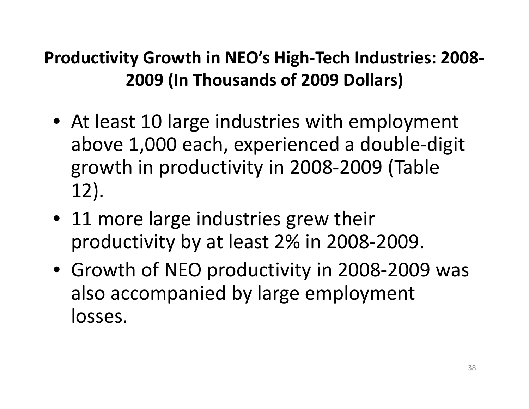## **Productivity Growth in NEO's High‐Tech Industries: 2008‐ 2009 (In Thousands of 2009 Dollars)**

- At least 10 large industries with employment above 1,000 each, experienced <sup>a</sup> double‐digit growth in productivity in 2008‐2009 (Table 12).
- 11 more large industries grew their productivity by at least 2% in 2008‐2009.
- Growth of NEO productivity in 2008‐2009 was also accompanied by large employment losses.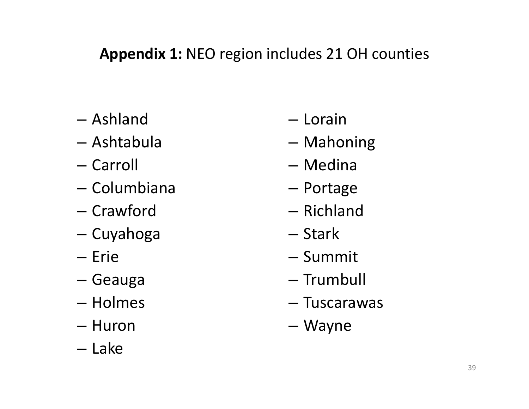#### **Appendix 1:** NEO region includes 21 OH counties

- Ashland
- Ashtabula
- Carroll
- Columbiana
- Crawford
- –— Cuyahoga
- Erie
- –— Geauga
- Holmes
- Huron
- Lake
- Lorain
- Mahoning
- Medina
- Portage
- Richland
- Stark
- Summit
- Trumbull
- Tuscarawas
- Wayne